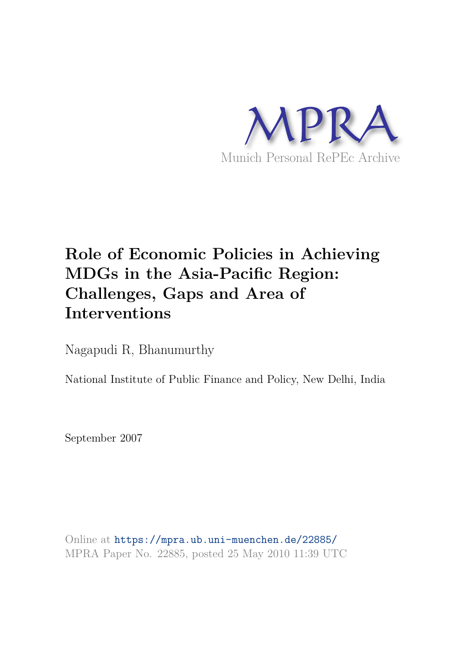

# **Role of Economic Policies in Achieving MDGs in the Asia-Pacific Region: Challenges, Gaps and Area of Interventions**

Nagapudi R, Bhanumurthy

National Institute of Public Finance and Policy, New Delhi, India

September 2007

Online at https://mpra.ub.uni-muenchen.de/22885/ MPRA Paper No. 22885, posted 25 May 2010 11:39 UTC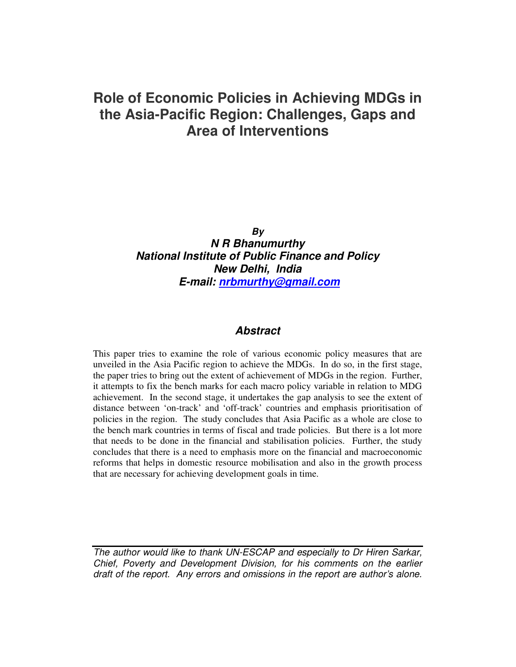## **Role of Economic Policies in Achieving MDGs in the Asia-Pacific Region: Challenges, Gaps and Area of Interventions**

*By* 

*N R Bhanumurthy National Institute of Public Finance and Policy New Delhi, India E-mail: nrbmurthy@gmail.com*

#### *Abstract*

This paper tries to examine the role of various economic policy measures that are unveiled in the Asia Pacific region to achieve the MDGs. In do so, in the first stage, the paper tries to bring out the extent of achievement of MDGs in the region. Further, it attempts to fix the bench marks for each macro policy variable in relation to MDG achievement. In the second stage, it undertakes the gap analysis to see the extent of distance between 'on-track' and 'off-track' countries and emphasis prioritisation of policies in the region. The study concludes that Asia Pacific as a whole are close to the bench mark countries in terms of fiscal and trade policies. But there is a lot more that needs to be done in the financial and stabilisation policies. Further, the study concludes that there is a need to emphasis more on the financial and macroeconomic reforms that helps in domestic resource mobilisation and also in the growth process that are necessary for achieving development goals in time.

The author would like to thank UN-ESCAP and especially to Dr Hiren Sarkar, Chief, Poverty and Development Division, for his comments on the earlier draft of the report. Any errors and omissions in the report are author's alone.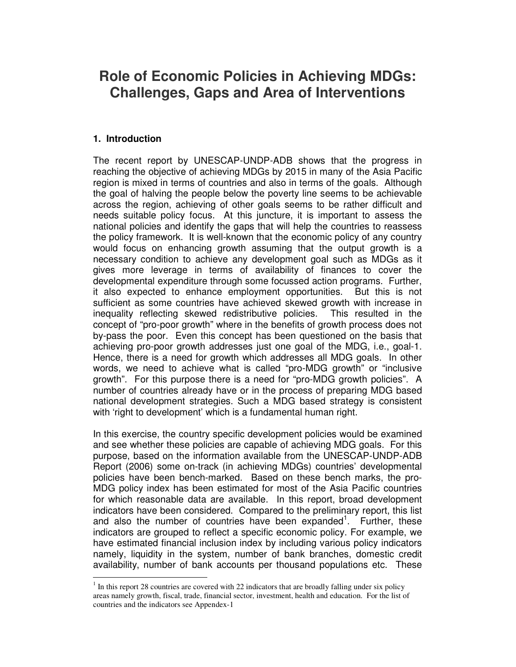## **Role of Economic Policies in Achieving MDGs: Challenges, Gaps and Area of Interventions**

#### **1. Introduction**

-

The recent report by UNESCAP-UNDP-ADB shows that the progress in reaching the objective of achieving MDGs by 2015 in many of the Asia Pacific region is mixed in terms of countries and also in terms of the goals. Although the goal of halving the people below the poverty line seems to be achievable across the region, achieving of other goals seems to be rather difficult and needs suitable policy focus. At this juncture, it is important to assess the national policies and identify the gaps that will help the countries to reassess the policy framework. It is well-known that the economic policy of any country would focus on enhancing growth assuming that the output growth is a necessary condition to achieve any development goal such as MDGs as it gives more leverage in terms of availability of finances to cover the developmental expenditure through some focussed action programs. Further, it also expected to enhance employment opportunities. But this is not sufficient as some countries have achieved skewed growth with increase in inequality reflecting skewed redistributive policies. This resulted in the concept of "pro-poor growth" where in the benefits of growth process does not by-pass the poor. Even this concept has been questioned on the basis that achieving pro-poor growth addresses just one goal of the MDG, i.e., goal-1. Hence, there is a need for growth which addresses all MDG goals. In other words, we need to achieve what is called "pro-MDG growth" or "inclusive growth". For this purpose there is a need for "pro-MDG growth policies". A number of countries already have or in the process of preparing MDG based national development strategies. Such a MDG based strategy is consistent with 'right to development' which is a fundamental human right.

In this exercise, the country specific development policies would be examined and see whether these policies are capable of achieving MDG goals. For this purpose, based on the information available from the UNESCAP-UNDP-ADB Report (2006) some on-track (in achieving MDGs) countries' developmental policies have been bench-marked. Based on these bench marks, the pro-MDG policy index has been estimated for most of the Asia Pacific countries for which reasonable data are available. In this report, broad development indicators have been considered. Compared to the preliminary report, this list and also the number of countries have been expanded<sup>1</sup>. Further, these indicators are grouped to reflect a specific economic policy. For example, we have estimated financial inclusion index by including various policy indicators namely, liquidity in the system, number of bank branches, domestic credit availability, number of bank accounts per thousand populations etc. These

 $1$  In this report 28 countries are covered with 22 indicators that are broadly falling under six policy areas namely growth, fiscal, trade, financial sector, investment, health and education. For the list of countries and the indicators see Appendex-1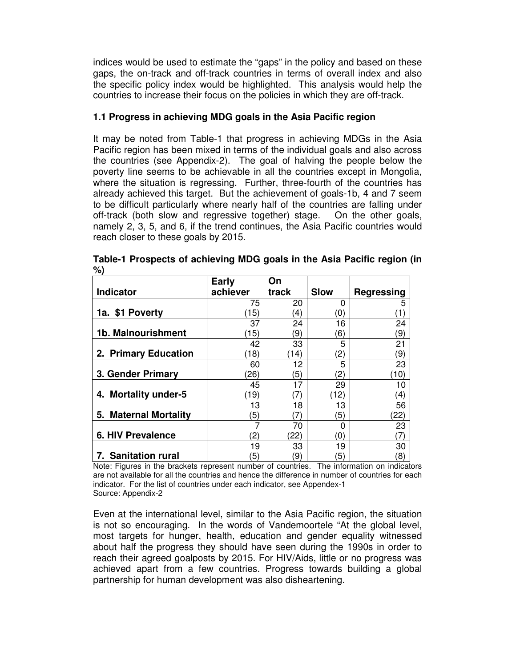indices would be used to estimate the "gaps" in the policy and based on these gaps, the on-track and off-track countries in terms of overall index and also the specific policy index would be highlighted. This analysis would help the countries to increase their focus on the policies in which they are off-track.

#### **1.1 Progress in achieving MDG goals in the Asia Pacific region**

It may be noted from Table-1 that progress in achieving MDGs in the Asia Pacific region has been mixed in terms of the individual goals and also across the countries (see Appendix-2). The goal of halving the people below the poverty line seems to be achievable in all the countries except in Mongolia, where the situation is regressing. Further, three-fourth of the countries has already achieved this target. But the achievement of goals-1b, 4 and 7 seem to be difficult particularly where nearly half of the countries are falling under off-track (both slow and regressive together) stage. On the other goals, namely 2, 3, 5, and 6, if the trend continues, the Asia Pacific countries would reach closer to these goals by 2015.

|                                | <b>Early</b>      | On    |                   |                   |
|--------------------------------|-------------------|-------|-------------------|-------------------|
| <b>Indicator</b>               | achiever          | track | <b>Slow</b>       | <b>Regressing</b> |
|                                | 75                | 20    | 0                 | 5                 |
| 1a. \$1 Poverty                | 15)               | 4)    | 0)                |                   |
|                                | 37                | 24    | 16                | 24                |
| 1b. Malnourishment             | 15)               | 9)    | 6)                | 9)                |
|                                | 42                | 33    | 5                 | 21                |
| 2. Primary Education           | 18)               | (14)  | 2)                | 9)                |
|                                | 60                | 12    | 5                 | 23                |
| 3. Gender Primary              | (26)              | 5)    | $\left( 2\right)$ | (10)              |
|                                | 45                | 17    | 29                | 10                |
| <b>Mortality under-5</b><br>4. | 19)               | 7     | 12)               | $\left(4\right)$  |
|                                | 13                | 18    | 13                | 56                |
| 5. Maternal Mortality          | 5)                | (7)   | 5)                | (22)              |
|                                | 7                 | 70    | ŋ                 | 23                |
| <b>6. HIV Prevalence</b>       | $\left( 2\right)$ | (22)  | (0)               | 7                 |
|                                | 19                | 33    | 19                | 30                |
| 7. Sanitation rural            | 5)                | 9)    | 5)                | $\left( 8\right)$ |

**Table-1 Prospects of achieving MDG goals in the Asia Pacific region (in %)** 

Note: Figures in the brackets represent number of countries. The information on indicators are not available for all the countries and hence the difference in number of countries for each indicator. For the list of countries under each indicator, see Appendex-1 Source: Appendix-2

Even at the international level, similar to the Asia Pacific region, the situation is not so encouraging. In the words of Vandemoortele "At the global level, most targets for hunger, health, education and gender equality witnessed about half the progress they should have seen during the 1990s in order to reach their agreed goalposts by 2015. For HIV/Aids, little or no progress was achieved apart from a few countries. Progress towards building a global partnership for human development was also disheartening.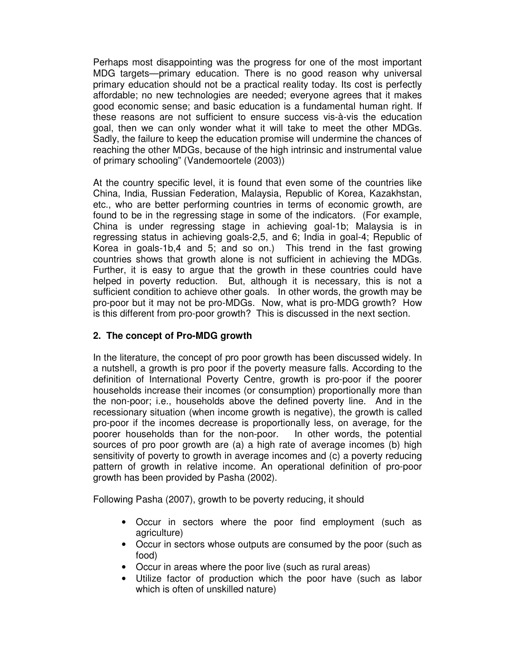Perhaps most disappointing was the progress for one of the most important MDG targets—primary education. There is no good reason why universal primary education should not be a practical reality today. Its cost is perfectly affordable; no new technologies are needed; everyone agrees that it makes good economic sense; and basic education is a fundamental human right. If these reasons are not sufficient to ensure success vis-à-vis the education goal, then we can only wonder what it will take to meet the other MDGs. Sadly, the failure to keep the education promise will undermine the chances of reaching the other MDGs, because of the high intrinsic and instrumental value of primary schooling" (Vandemoortele (2003))

At the country specific level, it is found that even some of the countries like China, India, Russian Federation, Malaysia, Republic of Korea, Kazakhstan, etc., who are better performing countries in terms of economic growth, are found to be in the regressing stage in some of the indicators. (For example, China is under regressing stage in achieving goal-1b; Malaysia is in regressing status in achieving goals-2,5, and 6; India in goal-4; Republic of Korea in goals-1b,4 and 5; and so on.) This trend in the fast growing countries shows that growth alone is not sufficient in achieving the MDGs. Further, it is easy to argue that the growth in these countries could have helped in poverty reduction. But, although it is necessary, this is not a sufficient condition to achieve other goals. In other words, the growth may be pro-poor but it may not be pro-MDGs. Now, what is pro-MDG growth? How is this different from pro-poor growth? This is discussed in the next section.

#### **2. The concept of Pro-MDG growth**

In the literature, the concept of pro poor growth has been discussed widely. In a nutshell, a growth is pro poor if the poverty measure falls. According to the definition of International Poverty Centre, growth is pro-poor if the poorer households increase their incomes (or consumption) proportionally more than the non-poor; i.e., households above the defined poverty line. And in the recessionary situation (when income growth is negative), the growth is called pro-poor if the incomes decrease is proportionally less, on average, for the poorer households than for the non-poor. In other words, the potential sources of pro poor growth are (a) a high rate of average incomes (b) high sensitivity of poverty to growth in average incomes and (c) a poverty reducing pattern of growth in relative income. An operational definition of pro-poor growth has been provided by Pasha (2002).

Following Pasha (2007), growth to be poverty reducing, it should

- Occur in sectors where the poor find employment (such as agriculture)
- Occur in sectors whose outputs are consumed by the poor (such as food)
- Occur in areas where the poor live (such as rural areas)
- Utilize factor of production which the poor have (such as labor which is often of unskilled nature)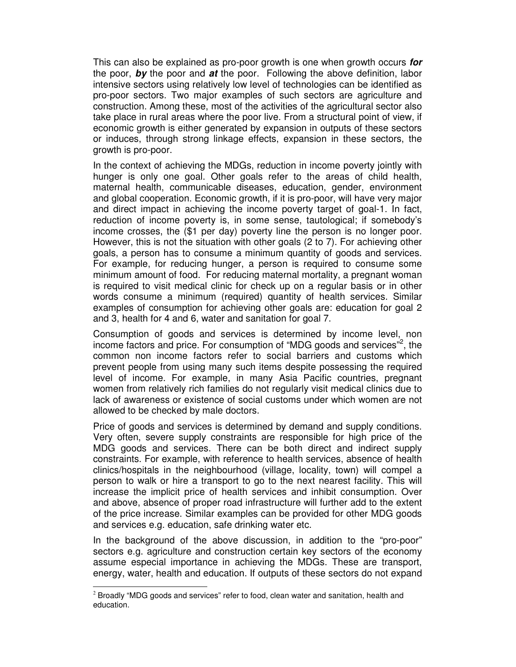This can also be explained as pro-poor growth is one when growth occurs *for* the poor, *by* the poor and *at* the poor. Following the above definition, labor intensive sectors using relatively low level of technologies can be identified as pro-poor sectors. Two major examples of such sectors are agriculture and construction. Among these, most of the activities of the agricultural sector also take place in rural areas where the poor live. From a structural point of view, if economic growth is either generated by expansion in outputs of these sectors or induces, through strong linkage effects, expansion in these sectors, the growth is pro-poor.

In the context of achieving the MDGs, reduction in income poverty jointly with hunger is only one goal. Other goals refer to the areas of child health, maternal health, communicable diseases, education, gender, environment and global cooperation. Economic growth, if it is pro-poor, will have very major and direct impact in achieving the income poverty target of goal-1. In fact, reduction of income poverty is, in some sense, tautological; if somebody's income crosses, the (\$1 per day) poverty line the person is no longer poor. However, this is not the situation with other goals (2 to 7). For achieving other goals, a person has to consume a minimum quantity of goods and services. For example, for reducing hunger, a person is required to consume some minimum amount of food. For reducing maternal mortality, a pregnant woman is required to visit medical clinic for check up on a regular basis or in other words consume a minimum (required) quantity of health services. Similar examples of consumption for achieving other goals are: education for goal 2 and 3, health for 4 and 6, water and sanitation for goal 7.

Consumption of goods and services is determined by income level, non income factors and price. For consumption of "MDG goods and services"<sup>2</sup>, the common non income factors refer to social barriers and customs which prevent people from using many such items despite possessing the required level of income. For example, in many Asia Pacific countries, pregnant women from relatively rich families do not regularly visit medical clinics due to lack of awareness or existence of social customs under which women are not allowed to be checked by male doctors.

Price of goods and services is determined by demand and supply conditions. Very often, severe supply constraints are responsible for high price of the MDG goods and services. There can be both direct and indirect supply constraints. For example, with reference to health services, absence of health clinics/hospitals in the neighbourhood (village, locality, town) will compel a person to walk or hire a transport to go to the next nearest facility. This will increase the implicit price of health services and inhibit consumption. Over and above, absence of proper road infrastructure will further add to the extent of the price increase. Similar examples can be provided for other MDG goods and services e.g. education, safe drinking water etc.

In the background of the above discussion, in addition to the "pro-poor" sectors e.g. agriculture and construction certain key sectors of the economy assume especial importance in achieving the MDGs. These are transport, energy, water, health and education. If outputs of these sectors do not expand

<sup>-</sup> $2$  Broadly "MDG goods and services" refer to food, clean water and sanitation, health and education.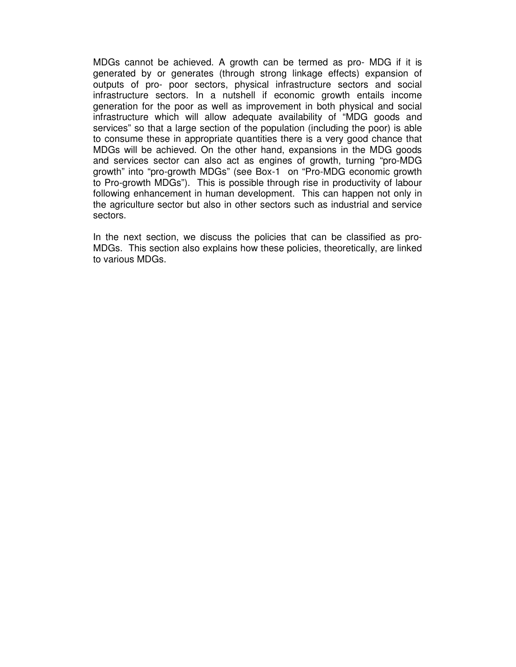MDGs cannot be achieved. A growth can be termed as pro- MDG if it is generated by or generates (through strong linkage effects) expansion of outputs of pro- poor sectors, physical infrastructure sectors and social infrastructure sectors. In a nutshell if economic growth entails income generation for the poor as well as improvement in both physical and social infrastructure which will allow adequate availability of "MDG goods and services" so that a large section of the population (including the poor) is able to consume these in appropriate quantities there is a very good chance that MDGs will be achieved. On the other hand, expansions in the MDG goods and services sector can also act as engines of growth, turning "pro-MDG growth" into "pro-growth MDGs" (see Box-1 on "Pro-MDG economic growth to Pro-growth MDGs"). This is possible through rise in productivity of labour following enhancement in human development. This can happen not only in the agriculture sector but also in other sectors such as industrial and service sectors.

In the next section, we discuss the policies that can be classified as pro-MDGs. This section also explains how these policies, theoretically, are linked to various MDGs.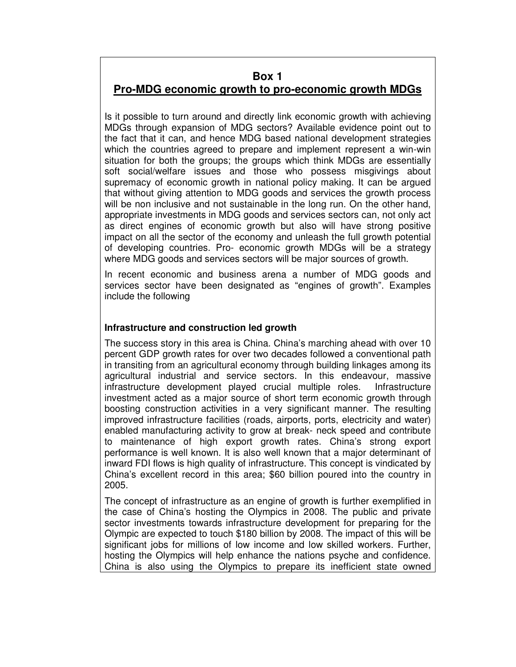#### **Box 1**

## **Pro-MDG economic growth to pro-economic growth MDGs**

Is it possible to turn around and directly link economic growth with achieving MDGs through expansion of MDG sectors? Available evidence point out to the fact that it can, and hence MDG based national development strategies which the countries agreed to prepare and implement represent a win-win situation for both the groups; the groups which think MDGs are essentially soft social/welfare issues and those who possess misgivings about supremacy of economic growth in national policy making. It can be argued that without giving attention to MDG goods and services the growth process will be non inclusive and not sustainable in the long run. On the other hand, appropriate investments in MDG goods and services sectors can, not only act as direct engines of economic growth but also will have strong positive impact on all the sector of the economy and unleash the full growth potential of developing countries. Pro- economic growth MDGs will be a strategy where MDG goods and services sectors will be major sources of growth.

In recent economic and business arena a number of MDG goods and services sector have been designated as "engines of growth". Examples include the following

#### **Infrastructure and construction led growth**

The success story in this area is China. China's marching ahead with over 10 percent GDP growth rates for over two decades followed a conventional path in transiting from an agricultural economy through building linkages among its agricultural industrial and service sectors. In this endeavour, massive infrastructure development played crucial multiple roles. Infrastructure investment acted as a major source of short term economic growth through boosting construction activities in a very significant manner. The resulting improved infrastructure facilities (roads, airports, ports, electricity and water) enabled manufacturing activity to grow at break- neck speed and contribute to maintenance of high export growth rates. China's strong export performance is well known. It is also well known that a major determinant of inward FDI flows is high quality of infrastructure. This concept is vindicated by China's excellent record in this area; \$60 billion poured into the country in 2005.

The concept of infrastructure as an engine of growth is further exemplified in the case of China's hosting the Olympics in 2008. The public and private sector investments towards infrastructure development for preparing for the Olympic are expected to touch \$180 billion by 2008. The impact of this will be significant jobs for millions of low income and low skilled workers. Further, hosting the Olympics will help enhance the nations psyche and confidence. China is also using the Olympics to prepare its inefficient state owned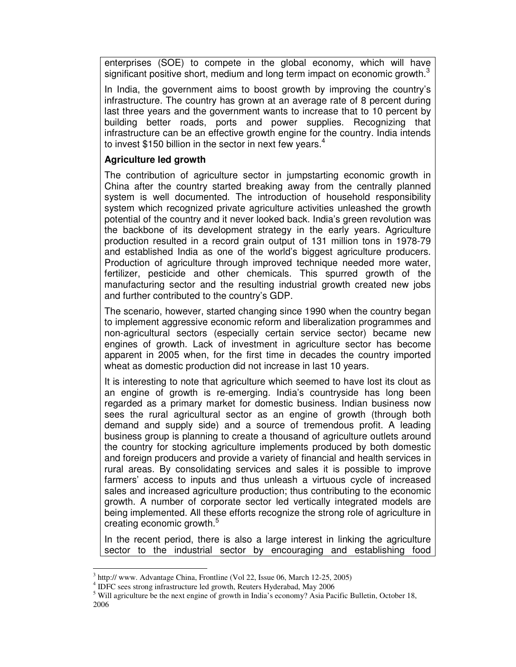enterprises (SOE) to compete in the global economy, which will have significant positive short, medium and long term impact on economic growth. $3$ 

In India, the government aims to boost growth by improving the country's infrastructure. The country has grown at an average rate of 8 percent during last three years and the government wants to increase that to 10 percent by building better roads, ports and power supplies. Recognizing that infrastructure can be an effective growth engine for the country. India intends to invest \$150 billion in the sector in next few years.<sup>4</sup>

#### **Agriculture led growth**

The contribution of agriculture sector in jumpstarting economic growth in China after the country started breaking away from the centrally planned system is well documented. The introduction of household responsibility system which recognized private agriculture activities unleashed the growth potential of the country and it never looked back. India's green revolution was the backbone of its development strategy in the early years. Agriculture production resulted in a record grain output of 131 million tons in 1978-79 and established India as one of the world's biggest agriculture producers. Production of agriculture through improved technique needed more water, fertilizer, pesticide and other chemicals. This spurred growth of the manufacturing sector and the resulting industrial growth created new jobs and further contributed to the country's GDP.

The scenario, however, started changing since 1990 when the country began to implement aggressive economic reform and liberalization programmes and non-agricultural sectors (especially certain service sector) became new engines of growth. Lack of investment in agriculture sector has become apparent in 2005 when, for the first time in decades the country imported wheat as domestic production did not increase in last 10 years.

It is interesting to note that agriculture which seemed to have lost its clout as an engine of growth is re-emerging. India's countryside has long been regarded as a primary market for domestic business. Indian business now sees the rural agricultural sector as an engine of growth (through both demand and supply side) and a source of tremendous profit. A leading business group is planning to create a thousand of agriculture outlets around the country for stocking agriculture implements produced by both domestic and foreign producers and provide a variety of financial and health services in rural areas. By consolidating services and sales it is possible to improve farmers' access to inputs and thus unleash a virtuous cycle of increased sales and increased agriculture production; thus contributing to the economic growth. A number of corporate sector led vertically integrated models are being implemented. All these efforts recognize the strong role of agriculture in creating economic growth.<sup>5</sup>

In the recent period, there is also a large interest in linking the agriculture sector to the industrial sector by encouraging and establishing food

-

<sup>&</sup>lt;sup>3</sup> http:// www. Advantage China, Frontline (Vol 22, Issue 06, March 12-25, 2005)

<sup>&</sup>lt;sup>4</sup> IDFC sees strong infrastructure led growth, Reuters Hyderabad, May 2006

<sup>&</sup>lt;sup>5</sup> Will agriculture be the next engine of growth in India's economy? Asia Pacific Bulletin, October 18, 2006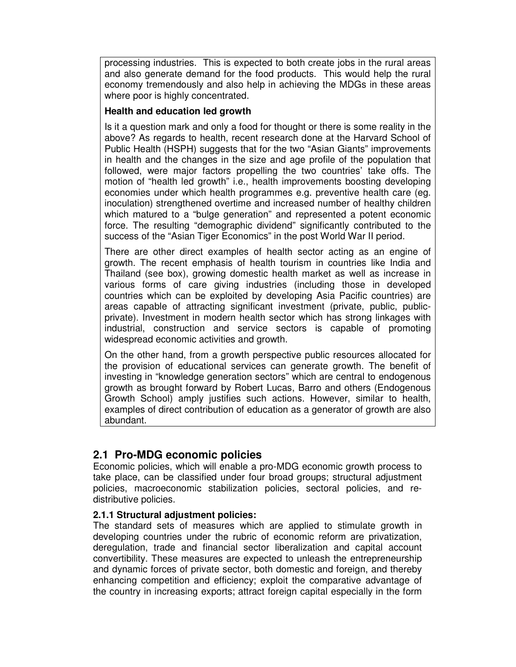processing industries. This is expected to both create jobs in the rural areas and also generate demand for the food products. This would help the rural economy tremendously and also help in achieving the MDGs in these areas where poor is highly concentrated.

#### **Health and education led growth**

Is it a question mark and only a food for thought or there is some reality in the above? As regards to health, recent research done at the Harvard School of Public Health (HSPH) suggests that for the two "Asian Giants" improvements in health and the changes in the size and age profile of the population that followed, were major factors propelling the two countries' take offs. The motion of "health led growth" i.e., health improvements boosting developing economies under which health programmes e.g. preventive health care (eg. inoculation) strengthened overtime and increased number of healthy children which matured to a "bulge generation" and represented a potent economic force. The resulting "demographic dividend" significantly contributed to the success of the "Asian Tiger Economics" in the post World War II period.

There are other direct examples of health sector acting as an engine of growth. The recent emphasis of health tourism in countries like India and Thailand (see box), growing domestic health market as well as increase in various forms of care giving industries (including those in developed countries which can be exploited by developing Asia Pacific countries) are areas capable of attracting significant investment (private, public, publicprivate). Investment in modern health sector which has strong linkages with industrial, construction and service sectors is capable of promoting widespread economic activities and growth.

On the other hand, from a growth perspective public resources allocated for the provision of educational services can generate growth. The benefit of investing in "knowledge generation sectors" which are central to endogenous growth as brought forward by Robert Lucas, Barro and others (Endogenous Growth School) amply justifies such actions. However, similar to health, examples of direct contribution of education as a generator of growth are also abundant.

### **2.1 Pro-MDG economic policies**

Economic policies, which will enable a pro-MDG economic growth process to take place, can be classified under four broad groups; structural adjustment policies, macroeconomic stabilization policies, sectoral policies, and redistributive policies.

#### **2.1.1 Structural adjustment policies:**

The standard sets of measures which are applied to stimulate growth in developing countries under the rubric of economic reform are privatization, deregulation, trade and financial sector liberalization and capital account convertibility. These measures are expected to unleash the entrepreneurship and dynamic forces of private sector, both domestic and foreign, and thereby enhancing competition and efficiency; exploit the comparative advantage of the country in increasing exports; attract foreign capital especially in the form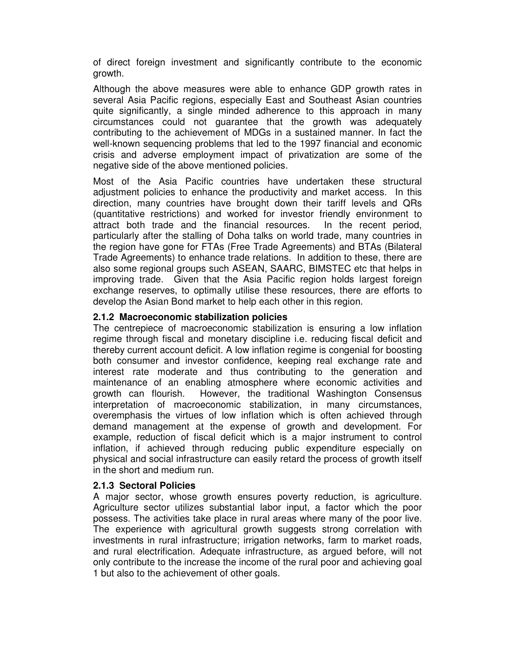of direct foreign investment and significantly contribute to the economic growth.

Although the above measures were able to enhance GDP growth rates in several Asia Pacific regions, especially East and Southeast Asian countries quite significantly, a single minded adherence to this approach in many circumstances could not guarantee that the growth was adequately contributing to the achievement of MDGs in a sustained manner. In fact the well-known sequencing problems that led to the 1997 financial and economic crisis and adverse employment impact of privatization are some of the negative side of the above mentioned policies.

Most of the Asia Pacific countries have undertaken these structural adjustment policies to enhance the productivity and market access. In this direction, many countries have brought down their tariff levels and QRs (quantitative restrictions) and worked for investor friendly environment to attract both trade and the financial resources. In the recent period, particularly after the stalling of Doha talks on world trade, many countries in the region have gone for FTAs (Free Trade Agreements) and BTAs (Bilateral Trade Agreements) to enhance trade relations. In addition to these, there are also some regional groups such ASEAN, SAARC, BIMSTEC etc that helps in improving trade. Given that the Asia Pacific region holds largest foreign exchange reserves, to optimally utilise these resources, there are efforts to develop the Asian Bond market to help each other in this region.

#### **2.1.2 Macroeconomic stabilization policies**

The centrepiece of macroeconomic stabilization is ensuring a low inflation regime through fiscal and monetary discipline i.e. reducing fiscal deficit and thereby current account deficit. A low inflation regime is congenial for boosting both consumer and investor confidence, keeping real exchange rate and interest rate moderate and thus contributing to the generation and maintenance of an enabling atmosphere where economic activities and growth can flourish. However, the traditional Washington Consensus interpretation of macroeconomic stabilization, in many circumstances, overemphasis the virtues of low inflation which is often achieved through demand management at the expense of growth and development. For example, reduction of fiscal deficit which is a major instrument to control inflation, if achieved through reducing public expenditure especially on physical and social infrastructure can easily retard the process of growth itself in the short and medium run.

#### **2.1.3 Sectoral Policies**

A major sector, whose growth ensures poverty reduction, is agriculture. Agriculture sector utilizes substantial labor input, a factor which the poor possess. The activities take place in rural areas where many of the poor live. The experience with agricultural growth suggests strong correlation with investments in rural infrastructure; irrigation networks, farm to market roads, and rural electrification. Adequate infrastructure, as argued before, will not only contribute to the increase the income of the rural poor and achieving goal 1 but also to the achievement of other goals.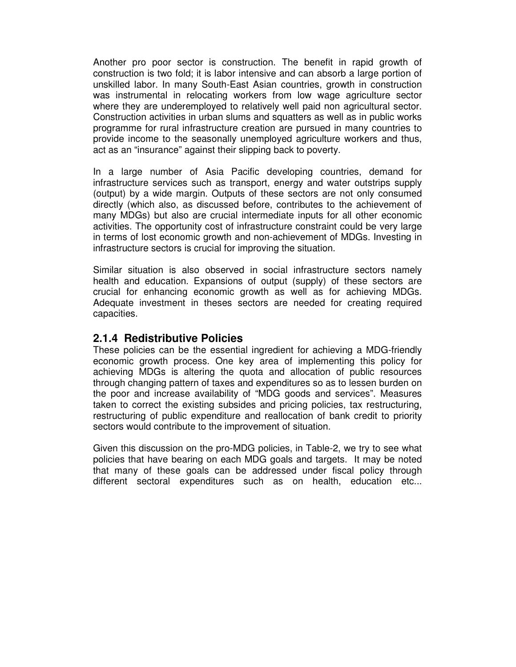Another pro poor sector is construction. The benefit in rapid growth of construction is two fold; it is labor intensive and can absorb a large portion of unskilled labor. In many South-East Asian countries, growth in construction was instrumental in relocating workers from low wage agriculture sector where they are underemployed to relatively well paid non agricultural sector. Construction activities in urban slums and squatters as well as in public works programme for rural infrastructure creation are pursued in many countries to provide income to the seasonally unemployed agriculture workers and thus, act as an "insurance" against their slipping back to poverty.

In a large number of Asia Pacific developing countries, demand for infrastructure services such as transport, energy and water outstrips supply (output) by a wide margin. Outputs of these sectors are not only consumed directly (which also, as discussed before, contributes to the achievement of many MDGs) but also are crucial intermediate inputs for all other economic activities. The opportunity cost of infrastructure constraint could be very large in terms of lost economic growth and non-achievement of MDGs. Investing in infrastructure sectors is crucial for improving the situation.

Similar situation is also observed in social infrastructure sectors namely health and education. Expansions of output (supply) of these sectors are crucial for enhancing economic growth as well as for achieving MDGs. Adequate investment in theses sectors are needed for creating required capacities.

#### **2.1.4 Redistributive Policies**

These policies can be the essential ingredient for achieving a MDG-friendly economic growth process. One key area of implementing this policy for achieving MDGs is altering the quota and allocation of public resources through changing pattern of taxes and expenditures so as to lessen burden on the poor and increase availability of "MDG goods and services". Measures taken to correct the existing subsides and pricing policies, tax restructuring, restructuring of public expenditure and reallocation of bank credit to priority sectors would contribute to the improvement of situation.

Given this discussion on the pro-MDG policies, in Table-2, we try to see what policies that have bearing on each MDG goals and targets. It may be noted that many of these goals can be addressed under fiscal policy through different sectoral expenditures such as on health, education etc...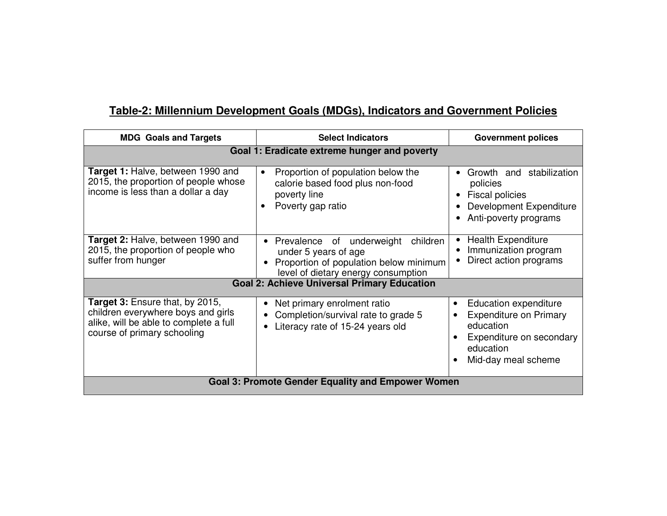## **Table-2: Millennium Development Goals (MDGs), Indicators and Government Policies**

| <b>MDG</b> Goals and Targets                                                                                                                   | <b>Select Indicators</b>                                                                                                                                    | <b>Government polices</b>                                                                                                                                     |  |  |  |  |  |
|------------------------------------------------------------------------------------------------------------------------------------------------|-------------------------------------------------------------------------------------------------------------------------------------------------------------|---------------------------------------------------------------------------------------------------------------------------------------------------------------|--|--|--|--|--|
| Goal 1: Eradicate extreme hunger and poverty                                                                                                   |                                                                                                                                                             |                                                                                                                                                               |  |  |  |  |  |
| Target 1: Halve, between 1990 and<br>2015, the proportion of people whose<br>income is less than a dollar a day                                | Proportion of population below the<br>$\bullet$<br>calorie based food plus non-food<br>poverty line<br>Poverty gap ratio                                    | Growth and stabilization<br>policies<br><b>Fiscal policies</b><br>Development Expenditure<br>Anti-poverty programs                                            |  |  |  |  |  |
| Target 2: Halve, between 1990 and<br>2015, the proportion of people who<br>suffer from hunger                                                  | Prevalence of underweight<br>children<br>$\bullet$<br>under 5 years of age<br>Proportion of population below minimum<br>level of dietary energy consumption | <b>Health Expenditure</b><br>Immunization program<br>Direct action programs                                                                                   |  |  |  |  |  |
|                                                                                                                                                | <b>Goal 2: Achieve Universal Primary Education</b>                                                                                                          |                                                                                                                                                               |  |  |  |  |  |
| Target 3: Ensure that, by 2015,<br>children everywhere boys and girls<br>alike, will be able to complete a full<br>course of primary schooling | Net primary enrolment ratio<br>Completion/survival rate to grade 5<br>$\bullet$<br>Literacy rate of 15-24 years old                                         | Education expenditure<br>$\bullet$<br><b>Expenditure on Primary</b><br>$\bullet$<br>education<br>Expenditure on secondary<br>education<br>Mid-day meal scheme |  |  |  |  |  |
|                                                                                                                                                | <b>Goal 3: Promote Gender Equality and Empower Women</b>                                                                                                    |                                                                                                                                                               |  |  |  |  |  |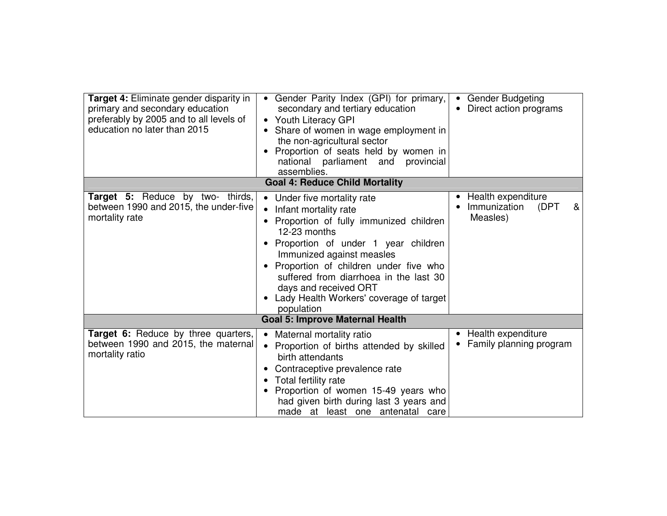| <b>Target 4: Eliminate gender disparity in</b><br>primary and secondary education<br>preferably by 2005 and to all levels of<br>education no later than 2015 | Gender Parity Index (GPI) for primary,<br>$\bullet$<br>secondary and tertiary education<br>• Youth Literacy GPI<br>Share of women in wage employment in<br>the non-agricultural sector<br>Proportion of seats held by women in<br>national parliament and<br>provincial<br>assemblies.                                                                                                         | <b>Gender Budgeting</b><br>Direct action programs           |
|--------------------------------------------------------------------------------------------------------------------------------------------------------------|------------------------------------------------------------------------------------------------------------------------------------------------------------------------------------------------------------------------------------------------------------------------------------------------------------------------------------------------------------------------------------------------|-------------------------------------------------------------|
|                                                                                                                                                              | <b>Goal 4: Reduce Child Mortality</b>                                                                                                                                                                                                                                                                                                                                                          |                                                             |
| <b>Target 5:</b> Reduce by two- thirds,<br>between 1990 and 2015, the under-five<br>mortality rate                                                           | Under five mortality rate<br>$\bullet$<br>Infant mortality rate<br>$\bullet$<br>• Proportion of fully immunized children<br>12-23 months<br>Proportion of under 1 year children<br>Immunized against measles<br>Proportion of children under five who<br>suffered from diarrhoea in the last 30<br>days and received ORT<br>Lady Health Workers' coverage of target<br>$\bullet$<br>population | Health expenditure<br>Immunization<br>(DPT<br>&<br>Measles) |
|                                                                                                                                                              | <b>Goal 5: Improve Maternal Health</b>                                                                                                                                                                                                                                                                                                                                                         |                                                             |
| Target 6: Reduce by three quarters,<br>between 1990 and 2015, the maternal<br>mortality ratio                                                                | Maternal mortality ratio<br>$\bullet$<br>Proportion of births attended by skilled<br>$\bullet$<br>birth attendants<br>Contraceptive prevalence rate<br>Total fertility rate<br>$\bullet$<br>Proportion of women 15-49 years who<br>had given birth during last 3 years and<br>made at least one antenatal care                                                                                 | Health expenditure<br>Family planning program               |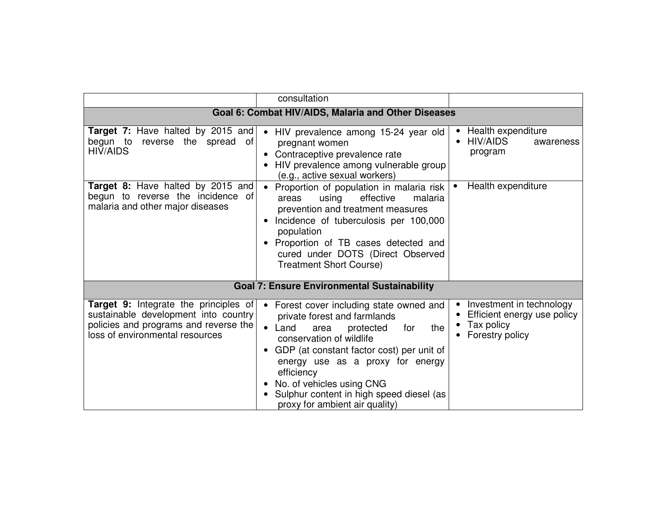|                                                                                                                                                                  | consultation                                                                                                                                                                                                                                                                                                                                                                      |                                                                                                       |  |  |  |  |  |
|------------------------------------------------------------------------------------------------------------------------------------------------------------------|-----------------------------------------------------------------------------------------------------------------------------------------------------------------------------------------------------------------------------------------------------------------------------------------------------------------------------------------------------------------------------------|-------------------------------------------------------------------------------------------------------|--|--|--|--|--|
| Goal 6: Combat HIV/AIDS, Malaria and Other Diseases                                                                                                              |                                                                                                                                                                                                                                                                                                                                                                                   |                                                                                                       |  |  |  |  |  |
| Target 7: Have halted by 2015 and<br>begun to<br>reverse the spread of<br><b>HIV/AIDS</b>                                                                        | HIV prevalence among 15-24 year old<br>$\bullet$<br>pregnant women<br>Contraceptive prevalence rate<br>HIV prevalence among vulnerable group<br>(e.g., active sexual workers)                                                                                                                                                                                                     | • Health expenditure<br><b>HIV/AIDS</b><br>awareness<br>program                                       |  |  |  |  |  |
| Target 8: Have halted by 2015 and<br>begun to reverse the incidence of<br>malaria and other major diseases                                                       | Proportion of population in malaria risk<br>areas<br>effective<br>malaria<br>using<br>prevention and treatment measures<br>Incidence of tuberculosis per 100,000<br>population<br>Proportion of TB cases detected and<br>cured under DOTS (Direct Observed<br><b>Treatment Short Course)</b>                                                                                      | Health expenditure                                                                                    |  |  |  |  |  |
|                                                                                                                                                                  | <b>Goal 7: Ensure Environmental Sustainability</b>                                                                                                                                                                                                                                                                                                                                |                                                                                                       |  |  |  |  |  |
| <b>Target 9:</b> Integrate the principles of<br>sustainable development into country<br>policies and programs and reverse the<br>loss of environmental resources | Forest cover including state owned and<br>$\bullet$<br>private forest and farmlands<br>protected<br>the<br>$\bullet$<br>Land<br>area<br>for<br>conservation of wildlife<br>GDP (at constant factor cost) per unit of<br>energy use as a proxy for energy<br>efficiency<br>No. of vehicles using CNG<br>Sulphur content in high speed diesel (as<br>proxy for ambient air quality) | Investment in technology<br>$\bullet$<br>Efficient energy use policy<br>Tax policy<br>Forestry policy |  |  |  |  |  |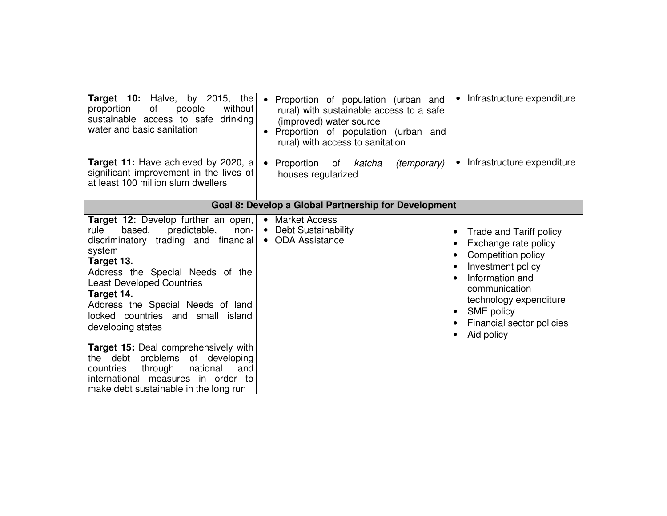| Target 10: Halve, by 2015, the<br>without<br>proportion<br>of<br>people<br>sustainable access to safe drinking<br>water and basic sanitation                                                                                                                                                                                                                                                                                                                                                                                                      | Infrastructure expenditure<br>Proportion of population (urban and<br>$\bullet$<br>$\bullet$<br>rural) with sustainable access to a safe<br>(improved) water source<br>Proportion of population (urban and<br>rural) with access to sanitation                                                                                                                                                     |
|---------------------------------------------------------------------------------------------------------------------------------------------------------------------------------------------------------------------------------------------------------------------------------------------------------------------------------------------------------------------------------------------------------------------------------------------------------------------------------------------------------------------------------------------------|---------------------------------------------------------------------------------------------------------------------------------------------------------------------------------------------------------------------------------------------------------------------------------------------------------------------------------------------------------------------------------------------------|
| <b>Target 11:</b> Have achieved by 2020, a<br>significant improvement in the lives of<br>at least 100 million slum dwellers                                                                                                                                                                                                                                                                                                                                                                                                                       | Infrastructure expenditure<br>Proportion<br>katcha<br>(temporary)<br>$\bullet$<br>of<br>houses regularized                                                                                                                                                                                                                                                                                        |
|                                                                                                                                                                                                                                                                                                                                                                                                                                                                                                                                                   | Goal 8: Develop a Global Partnership for Development                                                                                                                                                                                                                                                                                                                                              |
| <b>Target 12:</b> Develop further an open,<br>predictable,<br>rule<br>based.<br>non-<br>discriminatory trading and financial<br>system<br>Target 13.<br>Address the Special Needs of the<br><b>Least Developed Countries</b><br>Target 14.<br>Address the Special Needs of land<br>locked countries and small island<br>developing states<br>Target 15: Deal comprehensively with<br>the debt problems<br>of developing<br>national<br>through<br>countries<br>and<br>international measures in order to<br>make debt sustainable in the long run | <b>Market Access</b><br>$\bullet$<br>Debt Sustainability<br>$\bullet$<br>Trade and Tariff policy<br>$\bullet$<br><b>ODA Assistance</b><br>$\bullet$<br>Exchange rate policy<br>Competition policy<br>$\bullet$<br>Investment policy<br>$\bullet$<br>Information and<br>$\bullet$<br>communication<br>technology expenditure<br>SME policy<br>$\bullet$<br>Financial sector policies<br>Aid policy |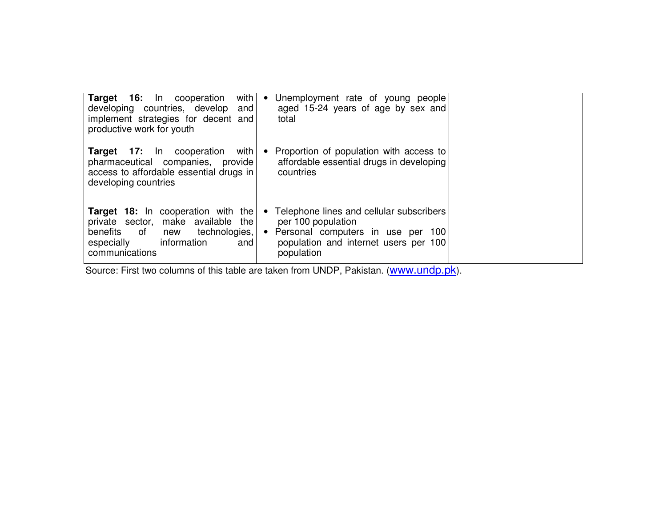| with<br><b>Target 16:</b> In cooperation<br>developing countries, develop<br>and<br>implement strategies for decent and<br>productive work for youth                        | Unemployment rate of young people<br>$\bullet$<br>aged 15-24 years of age by sex and<br>total                                                                                        |  |
|-----------------------------------------------------------------------------------------------------------------------------------------------------------------------------|--------------------------------------------------------------------------------------------------------------------------------------------------------------------------------------|--|
| <b>Target 17:</b> In cooperation<br>with<br>pharmaceutical companies, provide<br>access to affordable essential drugs in<br>developing countries                            | Proportion of population with access to<br>$\bullet$<br>affordable essential drugs in developing<br>countries                                                                        |  |
| Target 18: In cooperation with the<br>private sector, make available<br>the<br>technologies,<br>benefits<br>of<br>new<br>information<br>especially<br>and<br>communications | Telephone lines and cellular subscribers<br>$\bullet$<br>per 100 population<br>Personal computers in use per 100<br>$\bullet$<br>population and internet users per 100<br>population |  |

Source: First two columns of this table are taken from UNDP, Pakistan. (www.undp.pk).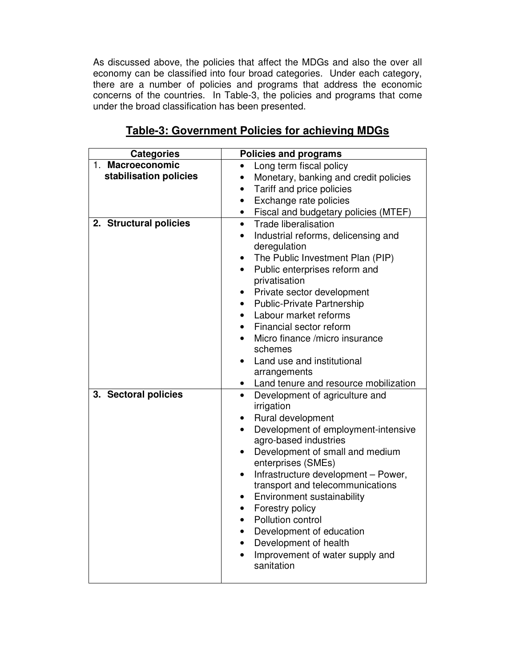As discussed above, the policies that affect the MDGs and also the over all economy can be classified into four broad categories. Under each category, there are a number of policies and programs that address the economic concerns of the countries. In Table-3, the policies and programs that come under the broad classification has been presented.

| <b>Categories</b>                          | <b>Policies and programs</b>                                                                                                                                                                                                                                                                                                                                                                                                                                                                                                                                           |
|--------------------------------------------|------------------------------------------------------------------------------------------------------------------------------------------------------------------------------------------------------------------------------------------------------------------------------------------------------------------------------------------------------------------------------------------------------------------------------------------------------------------------------------------------------------------------------------------------------------------------|
| 1. Macroeconomic<br>stabilisation policies | Long term fiscal policy<br>$\bullet$<br>Monetary, banking and credit policies<br>$\bullet$<br>Tariff and price policies<br>$\bullet$<br>Exchange rate policies<br>$\bullet$                                                                                                                                                                                                                                                                                                                                                                                            |
| 2. Structural policies                     | Fiscal and budgetary policies (MTEF)<br>$\bullet$<br><b>Trade liberalisation</b><br>$\bullet$<br>Industrial reforms, delicensing and<br>$\bullet$<br>deregulation<br>The Public Investment Plan (PIP)<br>Public enterprises reform and<br>privatisation<br>Private sector development<br>$\bullet$<br><b>Public-Private Partnership</b><br>Labour market reforms<br>Financial sector reform<br>Micro finance /micro insurance<br>schemes<br>Land use and institutional<br>arrangements<br>Land tenure and resource mobilization                                        |
| 3. Sectoral policies                       | Development of agriculture and<br>$\bullet$<br>irrigation<br>Rural development<br>$\bullet$<br>Development of employment-intensive<br>$\bullet$<br>agro-based industries<br>Development of small and medium<br>$\bullet$<br>enterprises (SMEs)<br>Infrastructure development - Power,<br>$\bullet$<br>transport and telecommunications<br>Environment sustainability<br>$\bullet$<br>Forestry policy<br>$\bullet$<br>Pollution control<br>$\bullet$<br>Development of education<br>Development of health<br>$\bullet$<br>Improvement of water supply and<br>sanitation |

## **Table-3: Government Policies for achieving MDGs**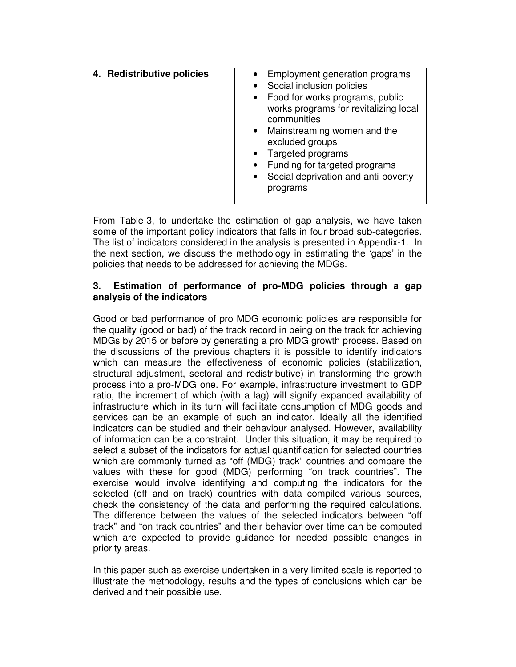| 4. Redistributive policies | • Employment generation programs<br>Social inclusion policies<br>• Food for works programs, public<br>works programs for revitalizing local<br>communities<br>• Mainstreaming women and the<br>excluded groups<br>• Targeted programs<br>Funding for targeted programs<br>• Social deprivation and anti-poverty<br>programs |
|----------------------------|-----------------------------------------------------------------------------------------------------------------------------------------------------------------------------------------------------------------------------------------------------------------------------------------------------------------------------|
|                            |                                                                                                                                                                                                                                                                                                                             |

From Table-3, to undertake the estimation of gap analysis, we have taken some of the important policy indicators that falls in four broad sub-categories. The list of indicators considered in the analysis is presented in Appendix-1. In the next section, we discuss the methodology in estimating the 'gaps' in the policies that needs to be addressed for achieving the MDGs.

#### **3. Estimation of performance of pro-MDG policies through a gap analysis of the indicators**

Good or bad performance of pro MDG economic policies are responsible for the quality (good or bad) of the track record in being on the track for achieving MDGs by 2015 or before by generating a pro MDG growth process. Based on the discussions of the previous chapters it is possible to identify indicators which can measure the effectiveness of economic policies (stabilization, structural adjustment, sectoral and redistributive) in transforming the growth process into a pro-MDG one. For example, infrastructure investment to GDP ratio, the increment of which (with a lag) will signify expanded availability of infrastructure which in its turn will facilitate consumption of MDG goods and services can be an example of such an indicator. Ideally all the identified indicators can be studied and their behaviour analysed. However, availability of information can be a constraint. Under this situation, it may be required to select a subset of the indicators for actual quantification for selected countries which are commonly turned as "off (MDG) track" countries and compare the values with these for good (MDG) performing "on track countries". The exercise would involve identifying and computing the indicators for the selected (off and on track) countries with data compiled various sources, check the consistency of the data and performing the required calculations. The difference between the values of the selected indicators between "off track" and "on track countries" and their behavior over time can be computed which are expected to provide guidance for needed possible changes in priority areas.

In this paper such as exercise undertaken in a very limited scale is reported to illustrate the methodology, results and the types of conclusions which can be derived and their possible use.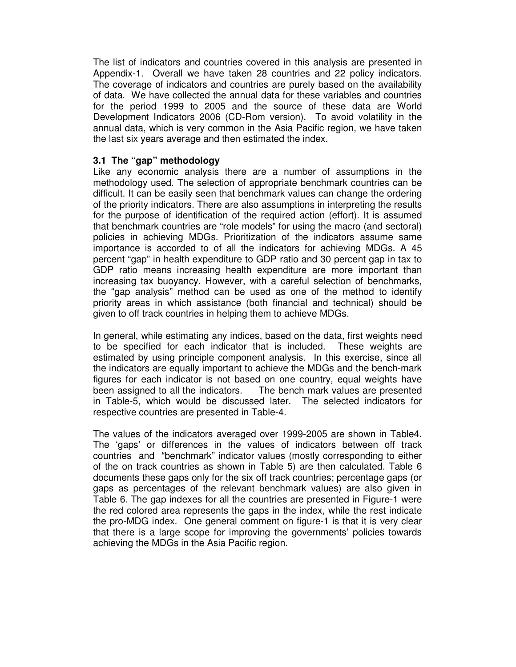The list of indicators and countries covered in this analysis are presented in Appendix-1. Overall we have taken 28 countries and 22 policy indicators. The coverage of indicators and countries are purely based on the availability of data. We have collected the annual data for these variables and countries for the period 1999 to 2005 and the source of these data are World Development Indicators 2006 (CD-Rom version). To avoid volatility in the annual data, which is very common in the Asia Pacific region, we have taken the last six years average and then estimated the index.

#### **3.1 The "gap" methodology**

Like any economic analysis there are a number of assumptions in the methodology used. The selection of appropriate benchmark countries can be difficult. It can be easily seen that benchmark values can change the ordering of the priority indicators. There are also assumptions in interpreting the results for the purpose of identification of the required action (effort). It is assumed that benchmark countries are "role models" for using the macro (and sectoral) policies in achieving MDGs. Prioritization of the indicators assume same importance is accorded to of all the indicators for achieving MDGs. A 45 percent "gap" in health expenditure to GDP ratio and 30 percent gap in tax to GDP ratio means increasing health expenditure are more important than increasing tax buoyancy. However, with a careful selection of benchmarks, the "gap analysis" method can be used as one of the method to identify priority areas in which assistance (both financial and technical) should be given to off track countries in helping them to achieve MDGs.

In general, while estimating any indices, based on the data, first weights need to be specified for each indicator that is included. These weights are estimated by using principle component analysis. In this exercise, since all the indicators are equally important to achieve the MDGs and the bench-mark figures for each indicator is not based on one country, equal weights have been assigned to all the indicators. The bench mark values are presented in Table-5, which would be discussed later. The selected indicators for respective countries are presented in Table-4.

The values of the indicators averaged over 1999-2005 are shown in Table4. The 'gaps' or differences in the values of indicators between off track countries and "benchmark" indicator values (mostly corresponding to either of the on track countries as shown in Table 5) are then calculated. Table 6 documents these gaps only for the six off track countries; percentage gaps (or gaps as percentages of the relevant benchmark values) are also given in Table 6. The gap indexes for all the countries are presented in Figure-1 were the red colored area represents the gaps in the index, while the rest indicate the pro-MDG index. One general comment on figure-1 is that it is very clear that there is a large scope for improving the governments' policies towards achieving the MDGs in the Asia Pacific region.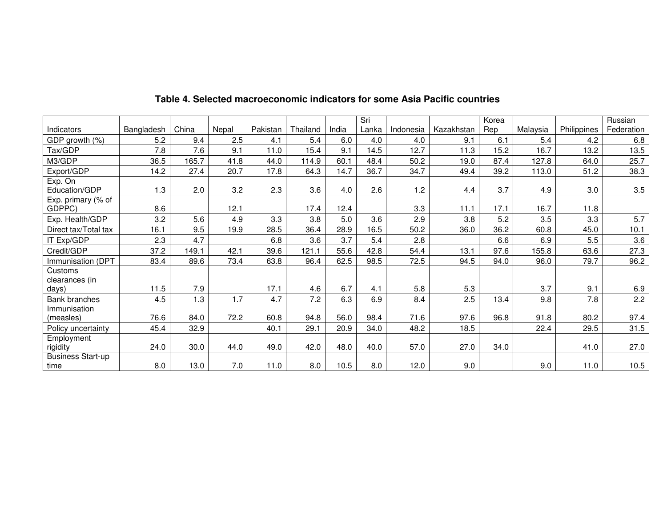|                                    |            |       |       |          |          |       | Sri   |           |            | Korea |          |             | Russian    |
|------------------------------------|------------|-------|-------|----------|----------|-------|-------|-----------|------------|-------|----------|-------------|------------|
| Indicators                         | Bangladesh | China | Nepal | Pakistan | Thailand | India | Lanka | Indonesia | Kazakhstan | Rep   | Malaysia | Philippines | Federation |
| GDP growth (%)                     | 5.2        | 9.4   | 2.5   | 4.1      | 5.4      | 6.0   | 4.0   | 4.0       | 9.1        | 6.1   | 5.4      | 4.2         | 6.8        |
| Tax/GDP                            | 7.8        | 7.6   | 9.1   | 11.0     | 15.4     | 9.1   | 14.5  | 12.7      | 11.3       | 15.2  | 16.7     | 13.2        | 13.5       |
| M3/GDP                             | 36.5       | 165.7 | 41.8  | 44.0     | 114.9    | 60.1  | 48.4  | 50.2      | 19.0       | 87.4  | 127.8    | 64.0        | 25.7       |
| Export/GDP                         | 14.2       | 27.4  | 20.7  | 17.8     | 64.3     | 14.7  | 36.7  | 34.7      | 49.4       | 39.2  | 113.0    | 51.2        | 38.3       |
| Exp. On<br>Education/GDP           | 1.3        | 2.0   | 3.2   | 2.3      | 3.6      | 4.0   | 2.6   | 1.2       | 4.4        | 3.7   | 4.9      | 3.0         | $3.5\,$    |
| Exp. primary (% of<br>GDPPC)       | 8.6        |       | 12.1  |          | 17.4     | 12.4  |       | 3.3       | 11.1       | 17.1  | 16.7     | 11.8        |            |
| Exp. Health/GDP                    | 3.2        | 5.6   | 4.9   | 3.3      | 3.8      | 5.0   | 3.6   | 2.9       | 3.8        | 5.2   | 3.5      | 3.3         | 5.7        |
| Direct tax/Total tax               | 16.1       | 9.5   | 19.9  | 28.5     | 36.4     | 28.9  | 16.5  | 50.2      | 36.0       | 36.2  | 60.8     | 45.0        | 10.1       |
| IT Exp/GDP                         | 2.3        | 4.7   |       | 6.8      | 3.6      | 3.7   | 5.4   | 2.8       |            | 6.6   | 6.9      | 5.5         | 3.6        |
| Credit/GDP                         | 37.2       | 149.1 | 42.1  | 39.6     | 121.1    | 55.6  | 42.8  | 54.4      | 13.1       | 97.6  | 155.8    | 63.6        | 27.3       |
| Immunisation (DPT                  | 83.4       | 89.6  | 73.4  | 63.8     | 96.4     | 62.5  | 98.5  | 72.5      | 94.5       | 94.0  | 96.0     | 79.7        | 96.2       |
| Customs<br>clearances (in<br>days) | 11.5       | 7.9   |       | 17.1     | 4.6      | 6.7   | 4.1   | 5.8       | 5.3        |       | 3.7      | 9.1         | 6.9        |
| <b>Bank branches</b>               | 4.5        | 1.3   | 1.7   | 4.7      | 7.2      | 6.3   | 6.9   | 8.4       | 2.5        | 13.4  | 9.8      | 7.8         | 2.2        |
| Immunisation<br>(measles)          | 76.6       | 84.0  | 72.2  | 60.8     | 94.8     | 56.0  | 98.4  | 71.6      | 97.6       | 96.8  | 91.8     | 80.2        | 97.4       |
| Policy uncertainty                 | 45.4       | 32.9  |       | 40.1     | 29.1     | 20.9  | 34.0  | 48.2      | 18.5       |       | 22.4     | 29.5        | 31.5       |
| Employment<br>rigidity             | 24.0       | 30.0  | 44.0  | 49.0     | 42.0     | 48.0  | 40.0  | 57.0      | 27.0       | 34.0  |          | 41.0        | 27.0       |
| <b>Business Start-up</b><br>time   | 8.0        | 13.0  | 7.0   | 11.0     | 8.0      | 10.5  | 8.0   | 12.0      | 9.0        |       | 9.0      | 11.0        | 10.5       |

### **Table 4. Selected macroeconomic indicators for some Asia Pacific countries**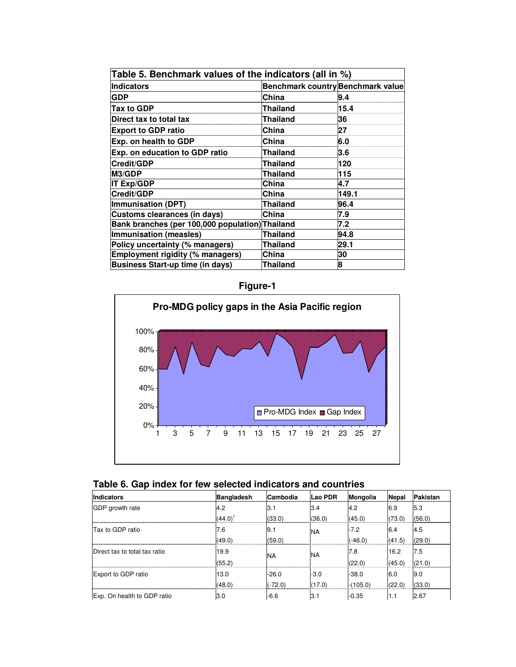| Table 5. Benchmark values of the indicators (all in %) |                                          |       |
|--------------------------------------------------------|------------------------------------------|-------|
| <b>Indicators</b>                                      | <b>Benchmark country Benchmark value</b> |       |
| <b>GDP</b>                                             | China                                    | 9.4   |
| Tax to GDP                                             | Thailand                                 | 15.4  |
| Direct tax to total tax                                | Thailand                                 | 36    |
| <b>Export to GDP ratio</b>                             | China                                    | 27    |
| Exp. on health to GDP                                  | China                                    | 6.0   |
| Exp. on education to GDP ratio                         | <b>Thailand</b>                          | 3.6   |
| Credit/GDP                                             | Thailand                                 | 120   |
| <b>M3/GDP</b>                                          | Thailand                                 | 115   |
| <b>IT Exp/GDP</b>                                      | China                                    | 4.7   |
| Credit/GDP                                             | China                                    | 149.1 |
| <b>Immunisation (DPT)</b>                              | Thailand                                 | 96.4  |
| Customs clearances (in days)                           | China                                    | 7.9   |
| Bank branches (per 100,000 population) Thailand        |                                          | 7.2   |
| Immunisation (measles)                                 | Thailand                                 | 94.8  |
| Policy uncertainty (% managers)                        | Thailand                                 | 29.1  |
| <b>Employment rigidity (% managers)</b>                | China                                    | 30    |
| <b>Business Start-up time (in days)</b>                | Thailand                                 | 8     |

**Figure-1** 



|  |  |  | Table 6. Gap index for few selected indicators and countries |  |
|--|--|--|--------------------------------------------------------------|--|
|--|--|--|--------------------------------------------------------------|--|

| <b>Indicators</b>             | <b>Bangladesh</b> | <b>Cambodia</b> | <b>Lao PDR</b> | Mongolia   | Nepal  | Pakistan |
|-------------------------------|-------------------|-----------------|----------------|------------|--------|----------|
| GDP growth rate               | 4.2               | 3.1             | 3.4            | 4.2        | 6.9    | 5.3      |
|                               | $(44.0)^1$        | (33.0)          | (36.0)         | (45.0)     | (73.0) | (56.0)   |
| Tax to GDP ratio              | 7.6               | 9.1             | <b>NA</b>      | $-7.2$     | 6.4    | 4.5      |
|                               | (49.0)            | (59.0)          |                | $(-46.0)$  | (41.5) | (29.0)   |
| Direct tax to total tax ratio | 19.9              | <b>NA</b>       | INA            | 7.8        | 16.2   | 7.5      |
|                               | (55.2)            |                 |                | (22.0)     | (45.0) | (21.0)   |
| Export to GDP ratio           | 13.0              | $-26.0$         | $-3.0$         | $-38.0$    | 6.0    | 9.0      |
|                               | (48.0)            | $(-72.0)$       | (17.0)         | $-(105.0)$ | (22.0) | (33.0)   |
| Exp. On health to GDP ratio   | 3.0               | -6.6            | l3.1           | $-0.35$    | 1.1    | 2.67     |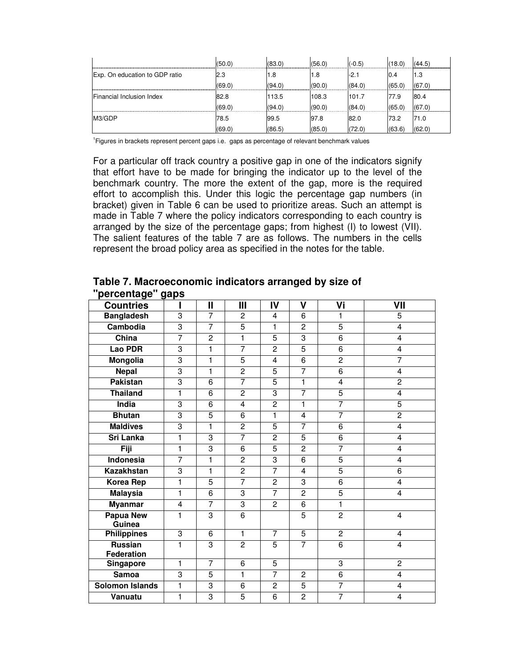|                                | (50.0) | (83.0) | (56.0) | $(-0.5)$ | (18.0) | (44.5) |
|--------------------------------|--------|--------|--------|----------|--------|--------|
| Exp. On education to GDP ratio | 2.3    | ، 8،   | 1.8    | -2.1     | IU.4   | 1.3    |
|                                | (69.0) | (94.0) | (90.0) | (84.0)   | (65.0) | (67.0) |
| Financial Inclusion Index      | 82.8   | 113.5  | 108.3  | 101.7    | 77.9   | 80.4   |
|                                | (69.0) | (94.0) | (90.0) | (84.0)   | (65.0) | (67.0) |
| M3/GDP                         | 78.5   | 99.5   | 97.8   | 82.0     | 73.2   | 71.0   |
|                                | (69.0) | (86.5) | (85.0) | (72.0)   | (63.6) | (62.0) |

1 Figures in brackets represent percent gaps i.e. gaps as percentage of relevant benchmark values

For a particular off track country a positive gap in one of the indicators signify that effort have to be made for bringing the indicator up to the level of the benchmark country. The more the extent of the gap, more is the required effort to accomplish this. Under this logic the percentage gap numbers (in bracket) given in Table 6 can be used to prioritize areas. Such an attempt is made in Table 7 where the policy indicators corresponding to each country is arranged by the size of the percentage gaps; from highest (I) to lowest (VII). The salient features of the table 7 are as follows. The numbers in the cells represent the broad policy area as specified in the notes for the table.

**Table 7. Macroeconomic indicators arranged by size of "percentage" gaps** 

| <b>Countries</b>                  |                | Ш              | Ш              | IV             | V                       | Vi             | VII            |
|-----------------------------------|----------------|----------------|----------------|----------------|-------------------------|----------------|----------------|
| <b>Bangladesh</b>                 | $\overline{3}$ | $\overline{7}$ | 2              | 4              | 6                       | 1              | 5              |
| Cambodia                          | 3              | $\overline{7}$ | $\overline{5}$ | 1              | $\overline{c}$          | $\overline{5}$ | 4              |
| China                             | $\overline{7}$ | $\overline{2}$ | 1              | $\overline{5}$ | 3                       | $\overline{6}$ | 4              |
| <b>Lao PDR</b>                    | 3              | 1              | $\overline{7}$ | $\overline{c}$ | 5                       | 6              | 4              |
| Mongolia                          | 3              | 1              | $\overline{5}$ | $\overline{4}$ | 6                       | $\overline{2}$ | 7              |
| <b>Nepal</b>                      | 3              | 1              | $\overline{2}$ | 5              | $\overline{7}$          | 6              | 4              |
| <b>Pakistan</b>                   | 3              | 6              | $\overline{7}$ | 5              | 1                       | 4              | $\overline{c}$ |
| <b>Thailand</b>                   | 1              | 6              | $\overline{c}$ | $\overline{3}$ | $\overline{7}$          | $\overline{5}$ | 4              |
| India                             | 3              | 6              | $\overline{4}$ | $\overline{c}$ | 1                       | $\overline{7}$ | $\overline{5}$ |
| <b>Bhutan</b>                     | 3              | 5              | 6              | 1              | $\overline{\mathbf{4}}$ | $\overline{7}$ | $\overline{c}$ |
| <b>Maldives</b>                   | 3              | 1              | $\overline{c}$ | 5              | 7                       | 6              | 4              |
| <b>Sri Lanka</b>                  | 1              | 3              | $\overline{7}$ | $\overline{c}$ | 5                       | 6              | 4              |
| Fiji                              | $\mathbf{1}$   | 3              | 6              | $\overline{5}$ | $\overline{2}$          | $\overline{7}$ | 4              |
| Indonesia                         | $\overline{7}$ | 1              | $\overline{c}$ | 3              | 6                       | 5              | 4              |
| <b>Kazakhstan</b>                 | 3              | 1              | $\overline{2}$ | $\overline{7}$ | $\overline{\mathbf{4}}$ | $\overline{5}$ | 6              |
| Korea Rep                         | $\mathbf{1}$   | $\overline{5}$ | $\overline{7}$ | $\overline{c}$ | $\overline{3}$          | $\overline{6}$ | 4              |
| <b>Malaysia</b>                   | 1              | 6              | 3              | 7              | $\overline{c}$          | 5              | 4              |
| <b>Myanmar</b>                    | 4              | $\overline{7}$ | $\overline{3}$ | $\overline{c}$ | 6                       | $\overline{1}$ |                |
| <b>Papua New</b><br><b>Guinea</b> | 1              | 3              | $\overline{6}$ |                | 5                       | $\overline{2}$ | 4              |
| <b>Philippines</b>                | 3              | 6              | 1              | $\overline{7}$ | $\overline{5}$          | $\overline{2}$ | 4              |
| <b>Russian</b><br>Federation      | 1              | 3              | $\overline{2}$ | $\overline{5}$ | 7                       | $\overline{6}$ | 4              |
| <b>Singapore</b>                  | 1              | $\overline{7}$ | 6              | $\overline{5}$ |                         | 3              | $\overline{2}$ |
| <b>Samoa</b>                      | 3              | $\overline{5}$ | 1              | $\overline{7}$ | $\overline{2}$          | $\overline{6}$ | $\overline{4}$ |
| <b>Solomon Islands</b>            | 1              | $\overline{3}$ | $\overline{6}$ | $\overline{2}$ | $\overline{5}$          | 7              | 4              |
| Vanuatu                           | 1              | $\overline{3}$ | $\overline{5}$ | $\overline{6}$ | $\overline{2}$          | 7              | $\overline{4}$ |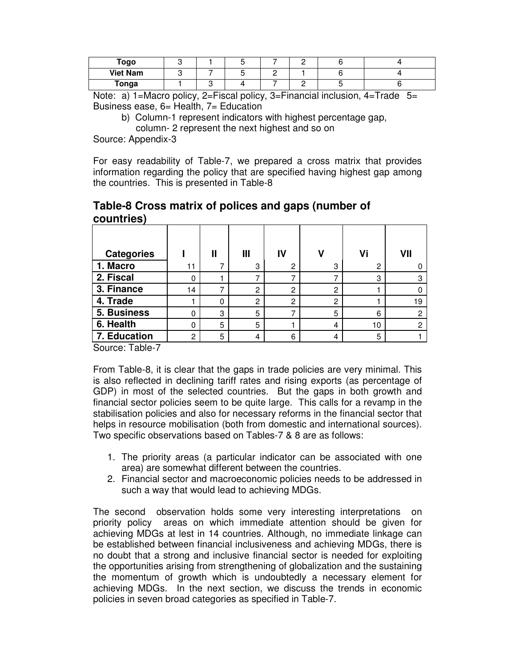| Togo            |  |  |  |  |
|-----------------|--|--|--|--|
| <b>Viet Nam</b> |  |  |  |  |
| Tonga           |  |  |  |  |

Note: a) 1=Macro policy, 2=Fiscal policy, 3=Financial inclusion, 4=Trade  $5=$ Business ease, 6= Health, 7= Education

b) Column-1 represent indicators with highest percentage gap,

column- 2 represent the next highest and so on

Source: Appendix-3

For easy readability of Table-7, we prepared a cross matrix that provides information regarding the policy that are specified having highest gap among the countries. This is presented in Table-8

#### **Table-8 Cross matrix of polices and gaps (number of countries)**

| <b>Categories</b> |    | Ш | Ш | IV |   | Vi | VII |
|-------------------|----|---|---|----|---|----|-----|
| 1. Macro          | 11 |   | 3 | 2  | 3 | 2  |     |
| 2. Fiscal         | 0  |   |   |    |   | 3  | 3   |
| 3. Finance        | 14 |   | 2 | റ  | 2 |    |     |
| 4. Trade          |    | 0 | 2 | ⌒  | 2 |    | 19  |
| 5. Business       | 0  | 3 | 5 |    | 5 | 6  | C   |
| 6. Health         | 0  | 5 | 5 |    | 4 | 10 | C   |
| 7. Education      | C  | 5 | 4 | 6  | 4 | 5  |     |

Source: Table-7

From Table-8, it is clear that the gaps in trade policies are very minimal. This is also reflected in declining tariff rates and rising exports (as percentage of GDP) in most of the selected countries. But the gaps in both growth and financial sector policies seem to be quite large. This calls for a revamp in the stabilisation policies and also for necessary reforms in the financial sector that helps in resource mobilisation (both from domestic and international sources). Two specific observations based on Tables-7 & 8 are as follows:

- 1. The priority areas (a particular indicator can be associated with one area) are somewhat different between the countries.
- 2. Financial sector and macroeconomic policies needs to be addressed in such a way that would lead to achieving MDGs.

The second observation holds some very interesting interpretations on priority policy areas on which immediate attention should be given for achieving MDGs at lest in 14 countries. Although, no immediate linkage can be established between financial inclusiveness and achieving MDGs, there is no doubt that a strong and inclusive financial sector is needed for exploiting the opportunities arising from strengthening of globalization and the sustaining the momentum of growth which is undoubtedly a necessary element for achieving MDGs. In the next section, we discuss the trends in economic policies in seven broad categories as specified in Table-7.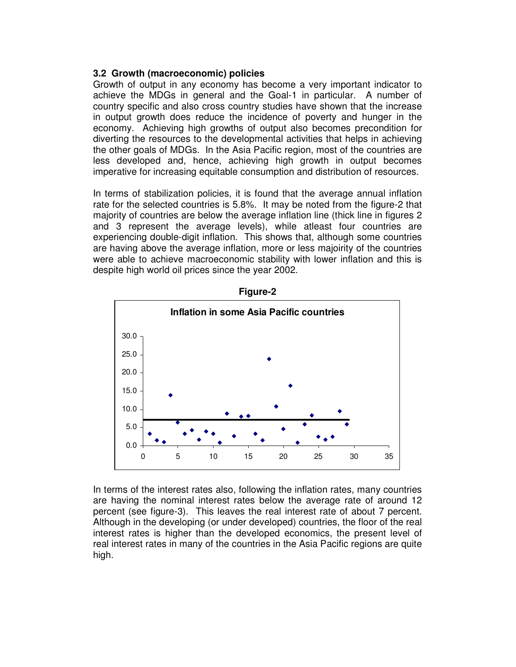#### **3.2 Growth (macroeconomic) policies**

Growth of output in any economy has become a very important indicator to achieve the MDGs in general and the Goal-1 in particular. A number of country specific and also cross country studies have shown that the increase in output growth does reduce the incidence of poverty and hunger in the economy. Achieving high growths of output also becomes precondition for diverting the resources to the developmental activities that helps in achieving the other goals of MDGs. In the Asia Pacific region, most of the countries are less developed and, hence, achieving high growth in output becomes imperative for increasing equitable consumption and distribution of resources.

In terms of stabilization policies, it is found that the average annual inflation rate for the selected countries is 5.8%. It may be noted from the figure-2 that majority of countries are below the average inflation line (thick line in figures 2 and 3 represent the average levels), while atleast four countries are experiencing double-digit inflation. This shows that, although some countries are having above the average inflation, more or less majoirity of the countries were able to achieve macroeconomic stability with lower inflation and this is despite high world oil prices since the year 2002.



**Figure-2** 

In terms of the interest rates also, following the inflation rates, many countries are having the nominal interest rates below the average rate of around 12 percent (see figure-3). This leaves the real interest rate of about 7 percent. Although in the developing (or under developed) countries, the floor of the real interest rates is higher than the developed economics, the present level of real interest rates in many of the countries in the Asia Pacific regions are quite high.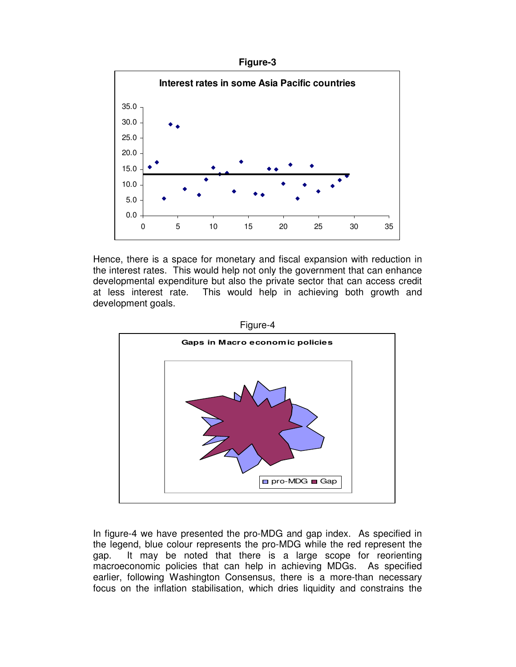



Hence, there is a space for monetary and fiscal expansion with reduction in the interest rates. This would help not only the government that can enhance developmental expenditure but also the private sector that can access credit at less interest rate. This would help in achieving both growth and development goals.



In figure-4 we have presented the pro-MDG and gap index. As specified in the legend, blue colour represents the pro-MDG while the red represent the gap. It may be noted that there is a large scope for reorienting macroeconomic policies that can help in achieving MDGs. As specified earlier, following Washington Consensus, there is a more-than necessary focus on the inflation stabilisation, which dries liquidity and constrains the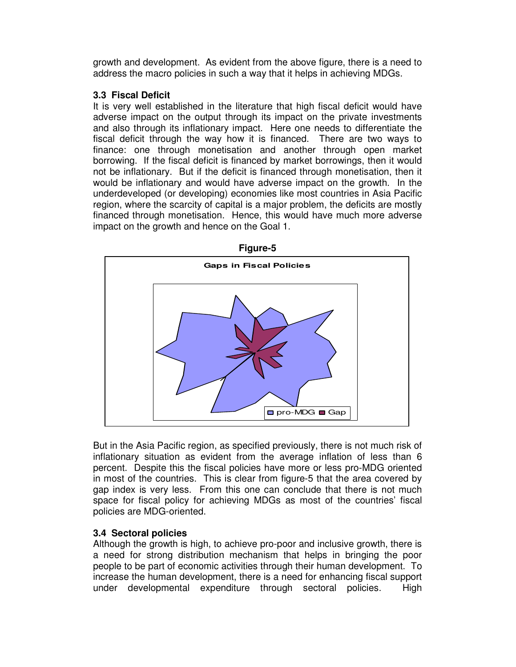growth and development. As evident from the above figure, there is a need to address the macro policies in such a way that it helps in achieving MDGs.

#### **3.3 Fiscal Deficit**

It is very well established in the literature that high fiscal deficit would have adverse impact on the output through its impact on the private investments and also through its inflationary impact. Here one needs to differentiate the fiscal deficit through the way how it is financed. There are two ways to finance: one through monetisation and another through open market borrowing. If the fiscal deficit is financed by market borrowings, then it would not be inflationary. But if the deficit is financed through monetisation, then it would be inflationary and would have adverse impact on the growth. In the underdeveloped (or developing) economies like most countries in Asia Pacific region, where the scarcity of capital is a major problem, the deficits are mostly financed through monetisation. Hence, this would have much more adverse impact on the growth and hence on the Goal 1.



**Figure-5** 

But in the Asia Pacific region, as specified previously, there is not much risk of inflationary situation as evident from the average inflation of less than 6 percent. Despite this the fiscal policies have more or less pro-MDG oriented in most of the countries. This is clear from figure-5 that the area covered by gap index is very less. From this one can conclude that there is not much space for fiscal policy for achieving MDGs as most of the countries' fiscal policies are MDG-oriented.

#### **3.4 Sectoral policies**

Although the growth is high, to achieve pro-poor and inclusive growth, there is a need for strong distribution mechanism that helps in bringing the poor people to be part of economic activities through their human development. To increase the human development, there is a need for enhancing fiscal support under developmental expenditure through sectoral policies. High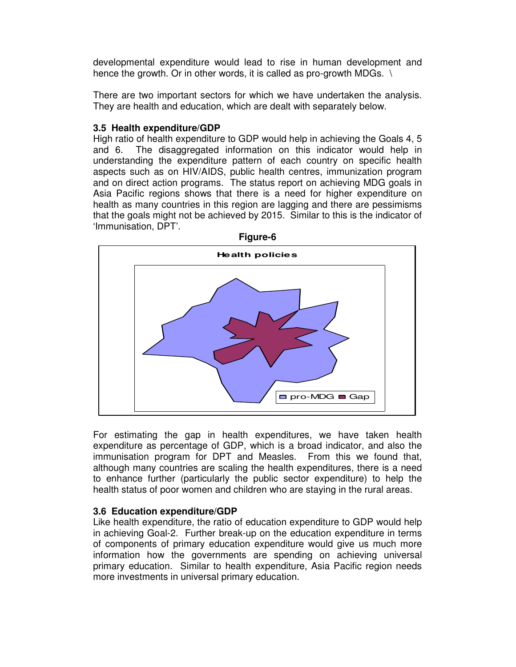developmental expenditure would lead to rise in human development and hence the growth. Or in other words, it is called as pro-growth MDGs. \

There are two important sectors for which we have undertaken the analysis. They are health and education, which are dealt with separately below.

#### **3.5 Health expenditure/GDP**

High ratio of health expenditure to GDP would help in achieving the Goals 4, 5 and 6. The disaggregated information on this indicator would help in understanding the expenditure pattern of each country on specific health aspects such as on HIV/AIDS, public health centres, immunization program and on direct action programs. The status report on achieving MDG goals in Asia Pacific regions shows that there is a need for higher expenditure on health as many countries in this region are lagging and there are pessimisms that the goals might not be achieved by 2015. Similar to this is the indicator of 'Immunisation, DPT'.



For estimating the gap in health expenditures, we have taken health expenditure as percentage of GDP, which is a broad indicator, and also the immunisation program for DPT and Measles. From this we found that, although many countries are scaling the health expenditures, there is a need to enhance further (particularly the public sector expenditure) to help the health status of poor women and children who are staying in the rural areas.

#### **3.6 Education expenditure/GDP**

Like health expenditure, the ratio of education expenditure to GDP would help in achieving Goal-2. Further break-up on the education expenditure in terms of components of primary education expenditure would give us much more information how the governments are spending on achieving universal primary education. Similar to health expenditure, Asia Pacific region needs more investments in universal primary education.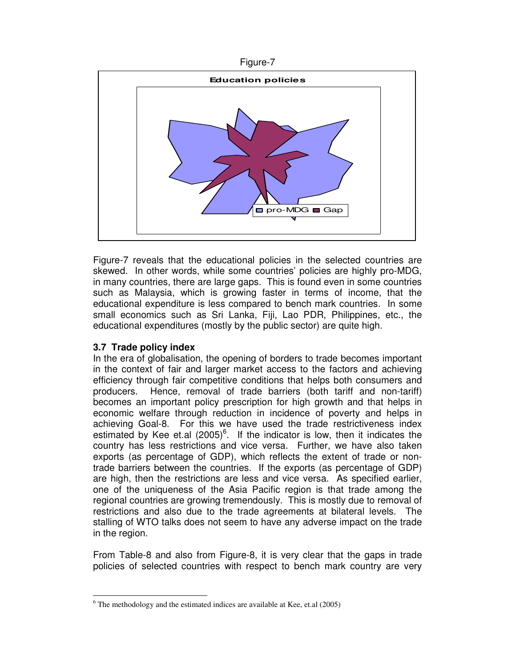



Figure-7 reveals that the educational policies in the selected countries are skewed. In other words, while some countries' policies are highly pro-MDG, in many countries, there are large gaps. This is found even in some countries such as Malaysia, which is growing faster in terms of income, that the educational expenditure is less compared to bench mark countries. In some small economics such as Sri Lanka, Fiji, Lao PDR, Philippines, etc., the educational expenditures (mostly by the public sector) are quite high.

#### **3.7 Trade policy index**

-

In the era of globalisation, the opening of borders to trade becomes important in the context of fair and larger market access to the factors and achieving efficiency through fair competitive conditions that helps both consumers and producers. Hence, removal of trade barriers (both tariff and non-tariff) becomes an important policy prescription for high growth and that helps in economic welfare through reduction in incidence of poverty and helps in achieving Goal-8. For this we have used the trade restrictiveness index estimated by Kee et.al  $(2005)^6$ . If the indicator is low, then it indicates the country has less restrictions and vice versa. Further, we have also taken exports (as percentage of GDP), which reflects the extent of trade or nontrade barriers between the countries. If the exports (as percentage of GDP) are high, then the restrictions are less and vice versa. As specified earlier, one of the uniqueness of the Asia Pacific region is that trade among the regional countries are growing tremendously. This is mostly due to removal of restrictions and also due to the trade agreements at bilateral levels. The stalling of WTO talks does not seem to have any adverse impact on the trade in the region.

From Table-8 and also from Figure-8, it is very clear that the gaps in trade policies of selected countries with respect to bench mark country are very

 $6$  The methodology and the estimated indices are available at Kee, et.al (2005)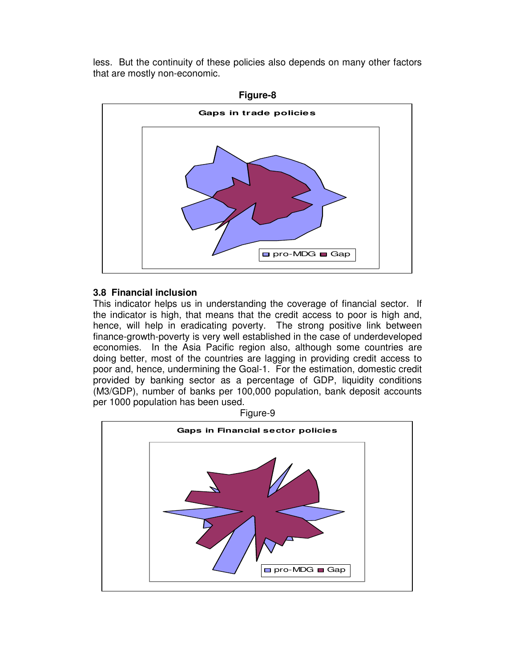less. But the continuity of these policies also depends on many other factors that are mostly non-economic.



#### **3.8 Financial inclusion**

This indicator helps us in understanding the coverage of financial sector. If the indicator is high, that means that the credit access to poor is high and, hence, will help in eradicating poverty. The strong positive link between finance-growth-poverty is very well established in the case of underdeveloped economies. In the Asia Pacific region also, although some countries are doing better, most of the countries are lagging in providing credit access to poor and, hence, undermining the Goal-1. For the estimation, domestic credit provided by banking sector as a percentage of GDP, liquidity conditions (M3/GDP), number of banks per 100,000 population, bank deposit accounts per 1000 population has been used.

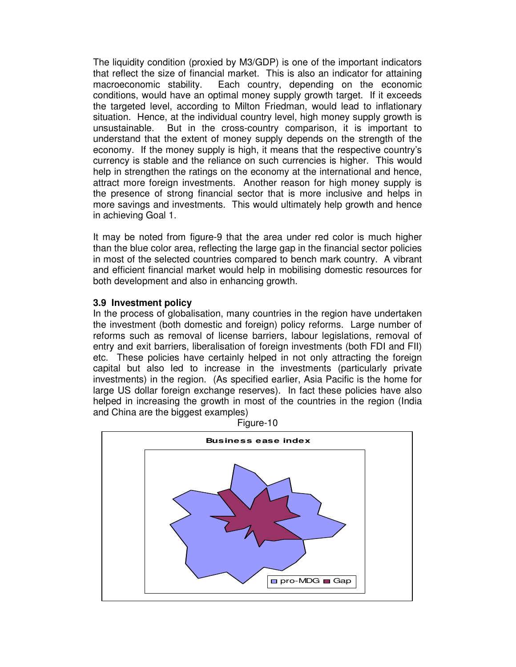The liquidity condition (proxied by M3/GDP) is one of the important indicators that reflect the size of financial market. This is also an indicator for attaining macroeconomic stability. Each country, depending on the economic conditions, would have an optimal money supply growth target. If it exceeds the targeted level, according to Milton Friedman, would lead to inflationary situation. Hence, at the individual country level, high money supply growth is unsustainable. But in the cross-country comparison, it is important to understand that the extent of money supply depends on the strength of the economy. If the money supply is high, it means that the respective country's currency is stable and the reliance on such currencies is higher. This would help in strengthen the ratings on the economy at the international and hence, attract more foreign investments. Another reason for high money supply is the presence of strong financial sector that is more inclusive and helps in more savings and investments. This would ultimately help growth and hence in achieving Goal 1.

It may be noted from figure-9 that the area under red color is much higher than the blue color area, reflecting the large gap in the financial sector policies in most of the selected countries compared to bench mark country. A vibrant and efficient financial market would help in mobilising domestic resources for both development and also in enhancing growth.

#### **3.9 Investment policy**

In the process of globalisation, many countries in the region have undertaken the investment (both domestic and foreign) policy reforms. Large number of reforms such as removal of license barriers, labour legislations, removal of entry and exit barriers, liberalisation of foreign investments (both FDI and FII) etc. These policies have certainly helped in not only attracting the foreign capital but also led to increase in the investments (particularly private investments) in the region. (As specified earlier, Asia Pacific is the home for large US dollar foreign exchange reserves). In fact these policies have also helped in increasing the growth in most of the countries in the region (India and China are the biggest examples)



Figure-10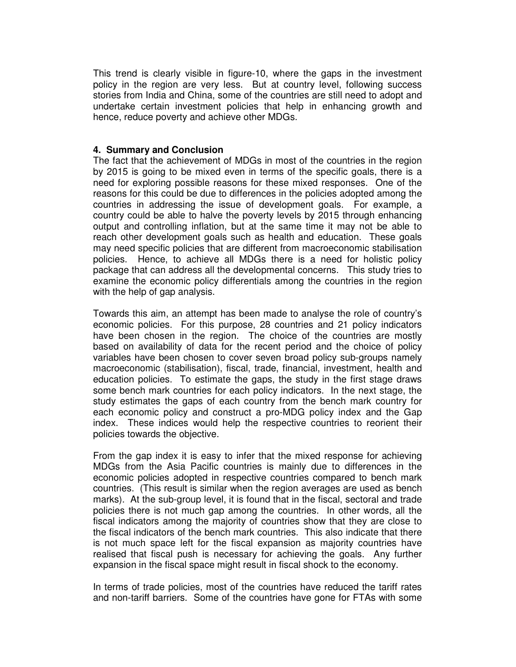This trend is clearly visible in figure-10, where the gaps in the investment policy in the region are very less. But at country level, following success stories from India and China, some of the countries are still need to adopt and undertake certain investment policies that help in enhancing growth and hence, reduce poverty and achieve other MDGs.

#### **4. Summary and Conclusion**

The fact that the achievement of MDGs in most of the countries in the region by 2015 is going to be mixed even in terms of the specific goals, there is a need for exploring possible reasons for these mixed responses. One of the reasons for this could be due to differences in the policies adopted among the countries in addressing the issue of development goals. For example, a country could be able to halve the poverty levels by 2015 through enhancing output and controlling inflation, but at the same time it may not be able to reach other development goals such as health and education. These goals may need specific policies that are different from macroeconomic stabilisation policies. Hence, to achieve all MDGs there is a need for holistic policy package that can address all the developmental concerns. This study tries to examine the economic policy differentials among the countries in the region with the help of gap analysis.

Towards this aim, an attempt has been made to analyse the role of country's economic policies. For this purpose, 28 countries and 21 policy indicators have been chosen in the region. The choice of the countries are mostly based on availability of data for the recent period and the choice of policy variables have been chosen to cover seven broad policy sub-groups namely macroeconomic (stabilisation), fiscal, trade, financial, investment, health and education policies. To estimate the gaps, the study in the first stage draws some bench mark countries for each policy indicators. In the next stage, the study estimates the gaps of each country from the bench mark country for each economic policy and construct a pro-MDG policy index and the Gap index. These indices would help the respective countries to reorient their policies towards the objective.

From the gap index it is easy to infer that the mixed response for achieving MDGs from the Asia Pacific countries is mainly due to differences in the economic policies adopted in respective countries compared to bench mark countries. (This result is similar when the region averages are used as bench marks). At the sub-group level, it is found that in the fiscal, sectoral and trade policies there is not much gap among the countries. In other words, all the fiscal indicators among the majority of countries show that they are close to the fiscal indicators of the bench mark countries. This also indicate that there is not much space left for the fiscal expansion as majority countries have realised that fiscal push is necessary for achieving the goals. Any further expansion in the fiscal space might result in fiscal shock to the economy.

In terms of trade policies, most of the countries have reduced the tariff rates and non-tariff barriers. Some of the countries have gone for FTAs with some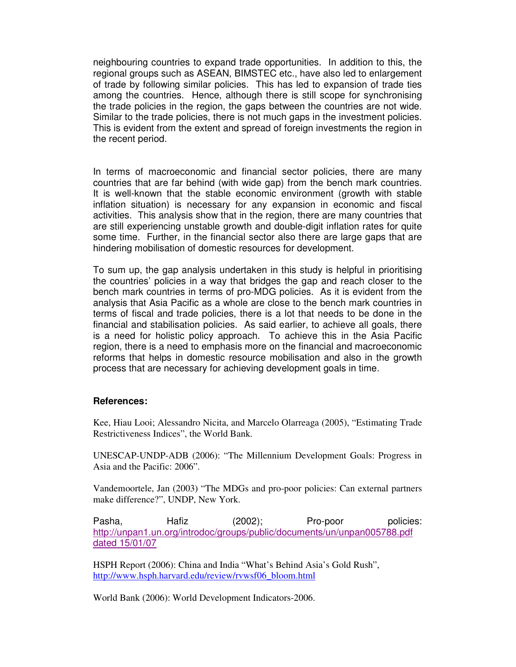neighbouring countries to expand trade opportunities. In addition to this, the regional groups such as ASEAN, BIMSTEC etc., have also led to enlargement of trade by following similar policies. This has led to expansion of trade ties among the countries. Hence, although there is still scope for synchronising the trade policies in the region, the gaps between the countries are not wide. Similar to the trade policies, there is not much gaps in the investment policies. This is evident from the extent and spread of foreign investments the region in the recent period.

In terms of macroeconomic and financial sector policies, there are many countries that are far behind (with wide gap) from the bench mark countries. It is well-known that the stable economic environment (growth with stable inflation situation) is necessary for any expansion in economic and fiscal activities. This analysis show that in the region, there are many countries that are still experiencing unstable growth and double-digit inflation rates for quite some time. Further, in the financial sector also there are large gaps that are hindering mobilisation of domestic resources for development.

To sum up, the gap analysis undertaken in this study is helpful in prioritising the countries' policies in a way that bridges the gap and reach closer to the bench mark countries in terms of pro-MDG policies. As it is evident from the analysis that Asia Pacific as a whole are close to the bench mark countries in terms of fiscal and trade policies, there is a lot that needs to be done in the financial and stabilisation policies. As said earlier, to achieve all goals, there is a need for holistic policy approach. To achieve this in the Asia Pacific region, there is a need to emphasis more on the financial and macroeconomic reforms that helps in domestic resource mobilisation and also in the growth process that are necessary for achieving development goals in time.

#### **References:**

Kee, Hiau Looi; Alessandro Nicita, and Marcelo Olarreaga (2005), "Estimating Trade Restrictiveness Indices", the World Bank.

UNESCAP-UNDP-ADB (2006): "The Millennium Development Goals: Progress in Asia and the Pacific: 2006".

Vandemoortele, Jan (2003) "The MDGs and pro-poor policies: Can external partners make difference?", UNDP, New York.

Pasha, Hafiz (2002); Pro-poor policies: http://unpan1.un.org/introdoc/groups/public/documents/un/unpan005788.pdf dated 15/01/07

HSPH Report (2006): China and India "What's Behind Asia's Gold Rush", http://www.hsph.harvard.edu/review/rvwsf06\_bloom.html

World Bank (2006): World Development Indicators-2006.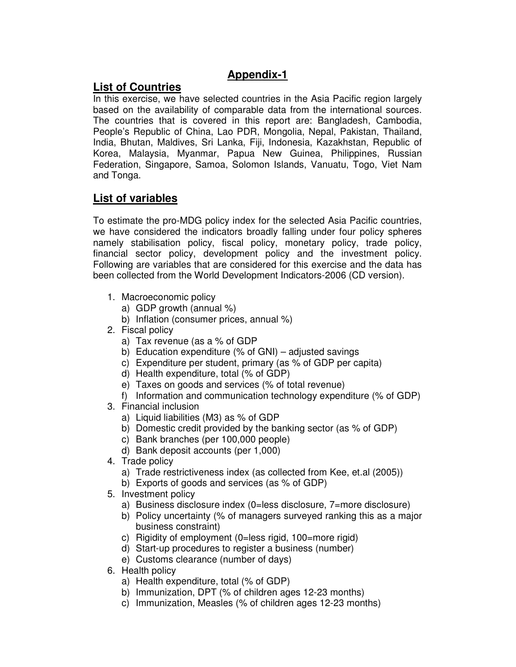### **Appendix-1**

## **List of Countries**

In this exercise, we have selected countries in the Asia Pacific region largely based on the availability of comparable data from the international sources. The countries that is covered in this report are: Bangladesh, Cambodia, People's Republic of China, Lao PDR, Mongolia, Nepal, Pakistan, Thailand, India, Bhutan, Maldives, Sri Lanka, Fiji, Indonesia, Kazakhstan, Republic of Korea, Malaysia, Myanmar, Papua New Guinea, Philippines, Russian Federation, Singapore, Samoa, Solomon Islands, Vanuatu, Togo, Viet Nam and Tonga.

## **List of variables**

To estimate the pro-MDG policy index for the selected Asia Pacific countries, we have considered the indicators broadly falling under four policy spheres namely stabilisation policy, fiscal policy, monetary policy, trade policy, financial sector policy, development policy and the investment policy. Following are variables that are considered for this exercise and the data has been collected from the World Development Indicators-2006 (CD version).

- 1. Macroeconomic policy
	- a) GDP growth (annual %)
	- b) Inflation (consumer prices, annual %)
- 2. Fiscal policy
	- a) Tax revenue (as a % of GDP
	- b) Education expenditure (% of GNI) adjusted savings
	- c) Expenditure per student, primary (as % of GDP per capita)
	- d) Health expenditure, total (% of GDP)
	- e) Taxes on goods and services (% of total revenue)
	- f) Information and communication technology expenditure (% of GDP)
- 3. Financial inclusion
	- a) Liquid liabilities (M3) as % of GDP
	- b) Domestic credit provided by the banking sector (as % of GDP)
	- c) Bank branches (per 100,000 people)
	- d) Bank deposit accounts (per 1,000)
- 4. Trade policy
	- a) Trade restrictiveness index (as collected from Kee, et.al (2005))
	- b) Exports of goods and services (as % of GDP)
- 5. Investment policy
	- a) Business disclosure index (0=less disclosure, 7=more disclosure)
	- b) Policy uncertainty (% of managers surveyed ranking this as a major business constraint)
	- c) Rigidity of employment (0=less rigid, 100=more rigid)
	- d) Start-up procedures to register a business (number)
	- e) Customs clearance (number of days)
- 6. Health policy
	- a) Health expenditure, total (% of GDP)
	- b) Immunization, DPT (% of children ages 12-23 months)
	- c) Immunization, Measles (% of children ages 12-23 months)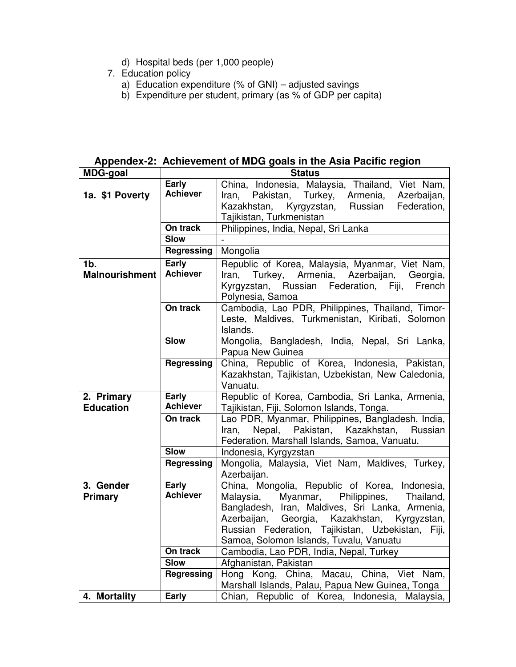- d) Hospital beds (per 1,000 people)
- 7. Education policy
	- a) Education expenditure (% of GNI) adjusted savings
	- b) Expenditure per student, primary (as % of GDP per capita)

**Appendex-2: Achievement of MDG goals in the Asia Pacific region** 

| <b>MDG-goal</b>       |                          | <b>Status</b>                                            |
|-----------------------|--------------------------|----------------------------------------------------------|
|                       | Early                    | China, Indonesia, Malaysia, Thailand, Viet Nam,          |
| 1a. \$1 Poverty       | <b>Achiever</b>          | Pakistan,<br>Turkey,<br>Armenia,<br>Azerbaijan,<br>Iran. |
|                       |                          | Kazakhstan,<br>Kyrgyzstan,<br>Russian<br>Federation,     |
|                       |                          | Tajikistan, Turkmenistan                                 |
|                       | On track                 | Philippines, India, Nepal, Sri Lanka                     |
|                       | <b>Slow</b>              |                                                          |
|                       | <b>Regressing</b>        | Mongolia                                                 |
| 1b.                   | Early                    | Republic of Korea, Malaysia, Myanmar, Viet Nam,          |
| <b>Malnourishment</b> | <b>Achiever</b>          | Iran.<br>Armenia, Azerbaijan, Georgia,<br>Turkey,        |
|                       |                          | Kyrgyzstan, Russian Federation, Fiji,<br>French          |
|                       |                          | Polynesia, Samoa                                         |
|                       | On track                 | Cambodia, Lao PDR, Philippines, Thailand, Timor-         |
|                       |                          | Leste, Maldives, Turkmenistan, Kiribati, Solomon         |
|                       |                          | Islands.                                                 |
|                       | <b>Slow</b>              | Mongolia, Bangladesh, India, Nepal, Sri Lanka,           |
|                       |                          | Papua New Guinea                                         |
|                       | <b>Regressing</b>        | China, Republic of Korea, Indonesia, Pakistan,           |
|                       |                          | Kazakhstan, Tajikistan, Uzbekistan, New Caledonia,       |
|                       |                          | Vanuatu.                                                 |
| 2. Primary            | Early                    | Republic of Korea, Cambodia, Sri Lanka, Armenia,         |
| <b>Education</b>      | <b>Achiever</b>          | Tajikistan, Fiji, Solomon Islands, Tonga.                |
|                       | On track                 | Lao PDR, Myanmar, Philippines, Bangladesh, India,        |
|                       |                          | Nepal, Pakistan, Kazakhstan, Russian<br>Iran,            |
|                       |                          | Federation, Marshall Islands, Samoa, Vanuatu.            |
|                       | <b>Slow</b>              | Indonesia, Kyrgyzstan                                    |
|                       | Regressing               | Mongolia, Malaysia, Viet Nam, Maldives, Turkey,          |
|                       |                          | Azerbaijan.                                              |
| 3. Gender             | Early<br><b>Achiever</b> | China, Mongolia, Republic of Korea, Indonesia,           |
| Primary               |                          | Myanmar, Philippines, Thailand,<br>Malaysia,             |
|                       |                          | Bangladesh, Iran, Maldives, Sri Lanka, Armenia,          |
|                       |                          | Georgia,<br>Kazakhstan,<br>Azerbaijan,<br>Kyrgyzstan,    |
|                       |                          | Russian Federation, Tajikistan, Uzbekistan, Fiji,        |
|                       |                          | Samoa, Solomon Islands, Tuvalu, Vanuatu                  |
|                       | On track                 | Cambodia, Lao PDR, India, Nepal, Turkey                  |
|                       | <b>Slow</b>              | Afghanistan, Pakistan                                    |
|                       | Regressing               | Hong Kong, China, Macau, China, Viet Nam,                |
|                       |                          | Marshall Islands, Palau, Papua New Guinea, Tonga         |
| 4. Mortality          | Early                    | Chian, Republic of Korea, Indonesia, Malaysia,           |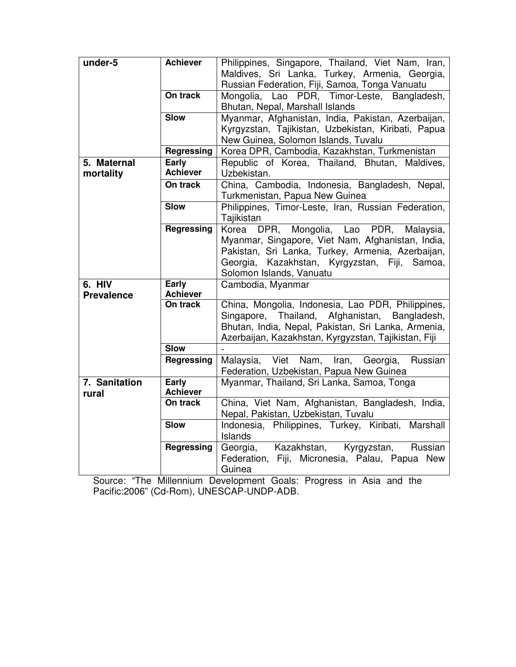| under-5           | <b>Achiever</b>          | Philippines, Singapore, Thailand, Viet Nam, Iran,        |
|-------------------|--------------------------|----------------------------------------------------------|
|                   |                          | Maldives, Sri Lanka, Turkey, Armenia, Georgia,           |
|                   |                          | Russian Federation, Fiji, Samoa, Tonga Vanuatu           |
|                   | On track                 | Mongolia, Lao PDR, Timor-Leste, Bangladesh,              |
|                   |                          | Bhutan, Nepal, Marshall Islands                          |
|                   | <b>Slow</b>              | Myanmar, Afghanistan, India, Pakistan, Azerbaijan,       |
|                   |                          | Kyrgyzstan, Tajikistan, Uzbekistan, Kiribati, Papua      |
|                   |                          | New Guinea, Solomon Islands, Tuvalu                      |
|                   | <b>Regressing</b>        | Korea DPR, Cambodia, Kazakhstan, Turkmenistan            |
| 5. Maternal       | Early                    | Republic of Korea, Thailand, Bhutan, Maldives,           |
| mortality         | <b>Achiever</b>          | Uzbekistan.                                              |
|                   | On track                 | China, Cambodia, Indonesia, Bangladesh, Nepal,           |
|                   |                          | Turkmenistan, Papua New Guinea                           |
|                   | <b>Slow</b>              | Philippines, Timor-Leste, Iran, Russian Federation,      |
|                   |                          | Tajikistan                                               |
|                   | <b>Regressing</b>        | Mongolia, Lao PDR, Malaysia,<br>Korea DPR,               |
|                   |                          | Myanmar, Singapore, Viet Nam, Afghanistan, India,        |
|                   |                          | Pakistan, Sri Lanka, Turkey, Armenia, Azerbaijan,        |
|                   |                          | Kazakhstan, Kyrgyzstan, Fiji, Samoa,<br>Georgia,         |
|                   |                          | Solomon Islands, Vanuatu                                 |
| 6. HIV            | Early<br><b>Achiever</b> | Cambodia, Myanmar                                        |
| <b>Prevalence</b> | On track                 | China, Mongolia, Indonesia, Lao PDR, Philippines,        |
|                   |                          | Singapore, Thailand, Afghanistan, Bangladesh,            |
|                   |                          | Bhutan, India, Nepal, Pakistan, Sri Lanka, Armenia,      |
|                   |                          | Azerbaijan, Kazakhstan, Kyrgyzstan, Tajikistan, Fiji     |
|                   | <b>Slow</b>              |                                                          |
|                   | <b>Regressing</b>        | Malaysia, Viet Nam, Iran, Georgia,<br>Russian            |
|                   |                          | Federation, Uzbekistan, Papua New Guinea                 |
| 7. Sanitation     | Early                    | Myanmar, Thailand, Sri Lanka, Samoa, Tonga               |
| rural             | <b>Achiever</b>          |                                                          |
|                   | On track                 | China, Viet Nam, Afghanistan, Bangladesh, India,         |
|                   |                          | Nepal, Pakistan, Uzbekistan, Tuvalu                      |
|                   | <b>Slow</b>              | Indonesia, Philippines, Turkey, Kiribati, Marshall       |
|                   |                          |                                                          |
|                   |                          | Islands                                                  |
|                   | Regressing               | Georgia, Kazakhstan, Kyrgyzstan, Russian                 |
|                   |                          | Federation, Fiji, Micronesia, Palau, Papua New<br>Guinea |

Source: "The Millennium Development Goals: Progress in Asia and the Pacific:2006" (Cd-Rom), UNESCAP-UNDP-ADB.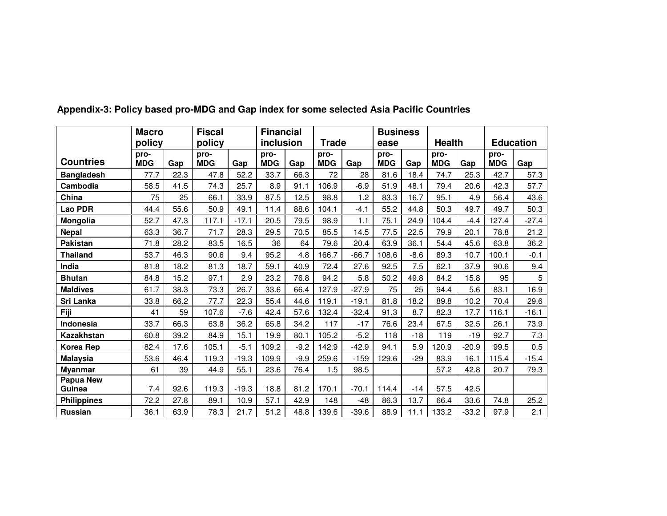|                            | <b>Macro</b>       |      | <b>Fiscal</b>      |         | <b>Financial</b>   |        |                    |         | <b>Business</b>    |        |                    |         |                    |                  |
|----------------------------|--------------------|------|--------------------|---------|--------------------|--------|--------------------|---------|--------------------|--------|--------------------|---------|--------------------|------------------|
|                            | policy             |      | policy             |         | inclusion          |        | <b>Trade</b>       |         | ease               |        | <b>Health</b>      |         |                    | <b>Education</b> |
| <b>Countries</b>           | pro-<br><b>MDG</b> | Gap  | pro-<br><b>MDG</b> | Gap     | pro-<br><b>MDG</b> | Gap    | pro-<br><b>MDG</b> | Gap     | pro-<br><b>MDG</b> | Gap    | pro-<br><b>MDG</b> | Gap     | pro-<br><b>MDG</b> | Gap              |
| <b>Bangladesh</b>          | 77.7               | 22.3 | 47.8               | 52.2    | 33.7               | 66.3   | 72                 | 28      | 81.6               | 18.4   | 74.7               | 25.3    | 42.7               | 57.3             |
| Cambodia                   | 58.5               | 41.5 | 74.3               | 25.7    | 8.9                | 91.1   | 106.9              | -6.9    | 51.9               | 48.1   | 79.4               | 20.6    | 42.3               | 57.7             |
| China                      | 75                 | 25   | 66.1               | 33.9    | 87.5               | 12.5   | 98.8               | 1.2     | 83.3               | 16.7   | 95.1               | 4.9     | 56.4               | 43.6             |
| Lao PDR                    | 44.4               | 55.6 | 50.9               | 49.1    | 11.4               | 88.6   | 104.1              | $-4.1$  | 55.2               | 44.8   | 50.3               | 49.7    | 49.7               | 50.3             |
| Mongolia                   | 52.7               | 47.3 | 117.1              | $-17.1$ | 20.5               | 79.5   | 98.9               | 1.1     | 75.1               | 24.9   | 104.4              | $-4.4$  | 127.4              | $-27.4$          |
| <b>Nepal</b>               | 63.3               | 36.7 | 71.7               | 28.3    | 29.5               | 70.5   | 85.5               | 14.5    | 77.5               | 22.5   | 79.9               | 20.1    | 78.8               | 21.2             |
| <b>Pakistan</b>            | 71.8               | 28.2 | 83.5               | 16.5    | 36                 | 64     | 79.6               | 20.4    | 63.9               | 36.1   | 54.4               | 45.6    | 63.8               | 36.2             |
| <b>Thailand</b>            | 53.7               | 46.3 | 90.6               | 9.4     | 95.2               | 4.8    | 166.7              | $-66.7$ | 108.6              | $-8.6$ | 89.3               | 10.7    | 100.1              | $-0.1$           |
| India                      | 81.8               | 18.2 | 81.3               | 18.7    | 59.1               | 40.9   | 72.4               | 27.6    | 92.5               | 7.5    | 62.1               | 37.9    | 90.6               | 9.4              |
| <b>Bhutan</b>              | 84.8               | 15.2 | 97.1               | 2.9     | 23.2               | 76.8   | 94.2               | 5.8     | 50.2               | 49.8   | 84.2               | 15.8    | 95                 | $\sqrt{5}$       |
| <b>Maldives</b>            | 61.7               | 38.3 | 73.3               | 26.7    | 33.6               | 66.4   | 127.9              | $-27.9$ | 75                 | 25     | 94.4               | 5.6     | 83.1               | 16.9             |
| Sri Lanka                  | 33.8               | 66.2 | 77.7               | 22.3    | 55.4               | 44.6   | 119.1              | $-19.1$ | 81.8               | 18.2   | 89.8               | 10.2    | 70.4               | 29.6             |
| Fiji                       | 41                 | 59   | 107.6              | $-7.6$  | 42.4               | 57.6   | 132.4              | $-32.4$ | 91.3               | 8.7    | 82.3               | 17.7    | 116.1              | $-16.1$          |
| <b>Indonesia</b>           | 33.7               | 66.3 | 63.8               | 36.2    | 65.8               | 34.2   | 117                | $-17$   | 76.6               | 23.4   | 67.5               | 32.5    | 26.1               | 73.9             |
| Kazakhstan                 | 60.8               | 39.2 | 84.9               | 15.1    | 19.9               | 80.1   | 105.2              | $-5.2$  | 118                | $-18$  | 119                | $-19$   | 92.7               | 7.3              |
| <b>Korea Rep</b>           | 82.4               | 17.6 | 105.1              | $-5.1$  | 109.2              | $-9.2$ | 142.9              | $-42.9$ | 94.1               | 5.9    | 120.9              | $-20.9$ | 99.5               | 0.5              |
| <b>Malaysia</b>            | 53.6               | 46.4 | 119.3              | $-19.3$ | 109.9              | $-9.9$ | 259.6              | $-159$  | 129.6              | $-29$  | 83.9               | 16.1    | 115.4              | $-15.4$          |
| <b>Myanmar</b>             | 61                 | 39   | 44.9               | 55.1    | 23.6               | 76.4   | 1.5                | 98.5    |                    |        | 57.2               | 42.8    | 20.7               | 79.3             |
| <b>Papua New</b><br>Guinea | 7.4                | 92.6 | 119.3              | $-19.3$ | 18.8               | 81.2   | 170.1              | $-70.1$ | 114.4              | $-14$  | 57.5               | 42.5    |                    |                  |
| <b>Philippines</b>         | 72.2               | 27.8 | 89.1               | 10.9    | 57.1               | 42.9   | 148                | -48     | 86.3               | 13.7   | 66.4               | 33.6    | 74.8               | 25.2             |
| <b>Russian</b>             | 36.1               | 63.9 | 78.3               | 21.7    | 51.2               | 48.8   | 139.6              | $-39.6$ | 88.9               | 11.1   | 133.2              | $-33.2$ | 97.9               | 2.1              |

**Appendix-3: Policy based pro-MDG and Gap index for some selected Asia Pacific Countries**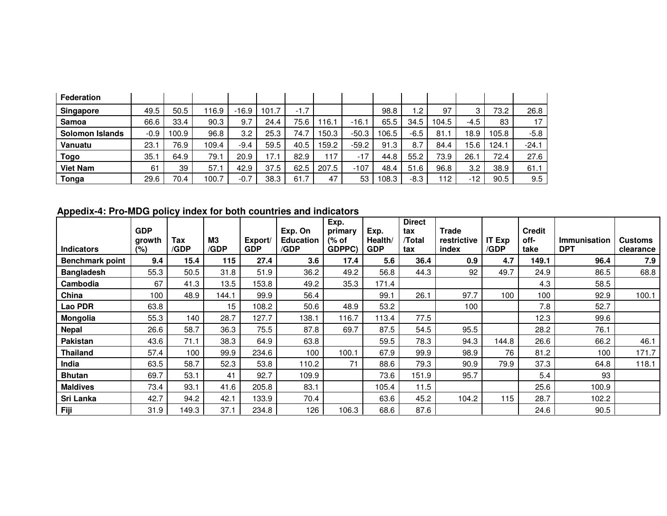| <b>Federation</b>      |        |       |       |         |       |        |       |         |       |      |       |       |       |         |
|------------------------|--------|-------|-------|---------|-------|--------|-------|---------|-------|------|-------|-------|-------|---------|
| Singapore              | 49.5   | 50.5  | 116.9 | $-16.9$ | 101.7 | $-1.7$ |       |         | 98.8  | 2. ا | 97    | 3     | 73.2  | 26.8    |
| <b>Samoa</b>           | 66.6   | 33.4  | 90.3  | 9.7     | 24.4  | 75.6   | 116.1 | $-16.1$ | 65.5  | 34.5 | 104.5 | -4.5  | 83    | 17      |
| <b>Solomon Islands</b> | $-0.9$ | 100.9 | 96.8  | 3.2     | 25.3  | 74.7   | 50.3  | $-50.3$ | 106.5 | -6.5 | 81.1  | 18.9  | 105.8 | $-5.8$  |
| <b>Vanuatu</b>         | 23.7   | 76.9  | 109.4 | $-9.4$  | 59.5  | 40.5   | 59.2  | $-59.2$ | 91.3  | 8.7  | 84.4  | 15.6  | 124.1 | $-24.1$ |
| <b>Togo</b>            | 35.7   | 64.9  | 79.1  | 20.9    | 17.1  | 82.9   | 117   | $-17$   | 44.8  | 55.2 | 73.9  | 26.1  | 72.4  | 27.6    |
| <b>Viet Nam</b>        | 61     | 39    | 57.1  | 42.9    | 37.5  | 62.5   | 207.5 | $-107$  | 48.4  | 51.6 | 96.8  | 3.2   | 38.9  | 61.1    |
| Tonga                  | 29.6   | 70.4  | 100.7 | $-0.7$  | 38.3  | 61.7   | 47    | 53      | 108.3 | -8.3 | 112   | $-12$ | 90.5  | 9.5     |

**Appedix-4: Pro-MDG policy index for both countries and indicators** 

|                        | <b>GDP</b>       |             |            |                       | Exp. On                  | Exp.<br>primary | Exp.                  | <b>Direct</b><br>tax | <b>Trade</b>         |                       | <b>Credit</b> |                                   |                      |
|------------------------|------------------|-------------|------------|-----------------------|--------------------------|-----------------|-----------------------|----------------------|----------------------|-----------------------|---------------|-----------------------------------|----------------------|
| <b>Indicators</b>      | growth<br>$(\%)$ | Tax<br>/GDP | M3<br>/GDP | Export/<br><b>GDP</b> | <b>Education</b><br>/GDP | (% of<br>GDPPC) | Health/<br><b>GDP</b> | /Total<br>tax        | restrictive<br>index | <b>IT Exp</b><br>/GDP | off-<br>take  | <b>Immunisation</b><br><b>DPT</b> | Customs<br>clearance |
| <b>Benchmark point</b> | 9.4              | 15.4        | 115        | 27.4                  | 3.6                      | 17.4            | 5.6                   | 36.4                 | 0.9                  | 4.7                   | 149.1         | 96.4                              | 7.9                  |
| <b>Bangladesh</b>      | 55.3             | 50.5        | 31.8       | 51.9                  | 36.2                     | 49.2            | 56.8                  | 44.3                 | 92                   | 49.7                  | 24.9          | 86.5                              | 68.8                 |
| Cambodia               | 67               | 41.3        | 13.5       | 153.8                 | 49.2                     | 35.3            | 171.4                 |                      |                      |                       | 4.3           | 58.5                              |                      |
| China                  | 100              | 48.9        | 144.1      | 99.9                  | 56.4                     |                 | 99.1                  | 26.1                 | 97.7                 | 100                   | 100           | 92.9                              | 100.1                |
| Lao PDR                | 63.8             |             | 15         | 108.2                 | 50.6                     | 48.9            | 53.2                  |                      | 100                  |                       | 7.8           | 52.7                              |                      |
| Mongolia               | 55.3             | 140         | 28.7       | 127.7                 | 138.1                    | 116.7           | 113.4                 | 77.5                 |                      |                       | 12.3          | 99.6                              |                      |
| <b>Nepal</b>           | 26.6             | 58.7        | 36.3       | 75.5                  | 87.8                     | 69.7            | 87.5                  | 54.5                 | 95.5                 |                       | 28.2          | 76.1                              |                      |
| <b>Pakistan</b>        | 43.6             | 71.1        | 38.3       | 64.9                  | 63.8                     |                 | 59.5                  | 78.3                 | 94.3                 | 144.8                 | 26.6          | 66.2                              | 46.1                 |
| <b>Thailand</b>        | 57.4             | 100         | 99.9       | 234.6                 | 100                      | 100.1           | 67.9                  | 99.9                 | 98.9                 | 76                    | 81.2          | 100                               | 171.7                |
| India                  | 63.5             | 58.7        | 52.3       | 53.8                  | 110.2                    | 71              | 88.6                  | 79.3                 | 90.9                 | 79.9                  | 37.3          | 64.8                              | 118.1                |
| <b>Bhutan</b>          | 69.7             | 53.1        | 41         | 92.7                  | 109.9                    |                 | 73.6                  | 151.9                | 95.7                 |                       | 5.4           | 93                                |                      |
| <b>Maldives</b>        | 73.4             | 93.1        | 41.6       | 205.8                 | 83.1                     |                 | 105.4                 | 11.5                 |                      |                       | 25.6          | 100.9                             |                      |
| Sri Lanka              | 42.7             | 94.2        | 42.1       | 133.9                 | 70.4                     |                 | 63.6                  | 45.2                 | 104.2                | 115                   | 28.7          | 102.2                             |                      |
| Fiji                   | 31.9             | 149.3       | 37.1       | 234.8                 | 126                      | 106.3           | 68.6                  | 87.6                 |                      |                       | 24.6          | 90.5                              |                      |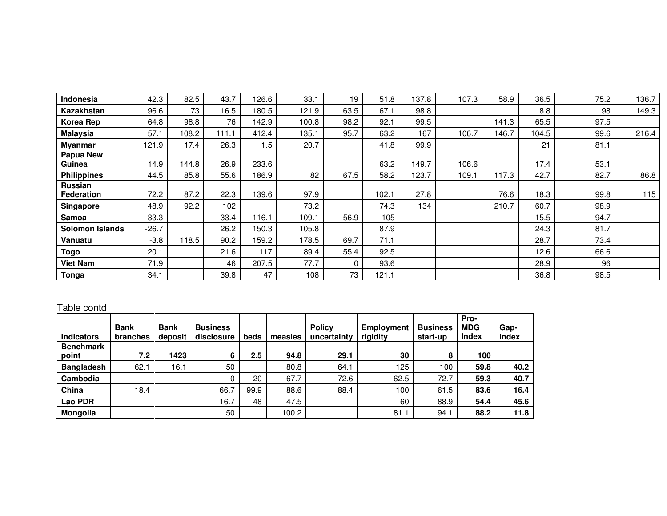| <b>Indonesia</b>       | 42.3    | 82.5  | 43.7  | 126.6 | 33.1  | 19   | 51.8  | 137.8 | 107.3 | 58.9  | 36.5  | 75.2 | 136.7 |
|------------------------|---------|-------|-------|-------|-------|------|-------|-------|-------|-------|-------|------|-------|
| Kazakhstan             | 96.6    | 73    | 16.5  | 180.5 | 121.9 | 63.5 | 67.1  | 98.8  |       |       | 8.8   | 98   | 149.3 |
| Korea Rep              | 64.8    | 98.8  | 76    | 142.9 | 100.8 | 98.2 | 92.1  | 99.5  |       | 141.3 | 65.5  | 97.5 |       |
| <b>Malaysia</b>        | 57.1    | 108.2 | 111.1 | 412.4 | 135.1 | 95.7 | 63.2  | 167   | 106.7 | 146.7 | 104.5 | 99.6 | 216.4 |
| <b>Myanmar</b>         | 121.9   | 17.4  | 26.3  | 1.5   | 20.7  |      | 41.8  | 99.9  |       |       | 21    | 81.1 |       |
| Papua New<br>Guinea    | 14.9    | 144.8 | 26.9  | 233.6 |       |      | 63.2  | 149.7 | 106.6 |       | 17.4  | 53.1 |       |
| <b>Philippines</b>     | 44.5    | 85.8  | 55.6  | 186.9 | 82    | 67.5 | 58.2  | 123.7 | 109.1 | 117.3 | 42.7  | 82.7 | 86.8  |
| Russian<br>Federation  | 72.2    | 87.2  | 22.3  | 139.6 | 97.9  |      | 102.1 | 27.8  |       | 76.6  | 18.3  | 99.8 | 115   |
| <b>Singapore</b>       | 48.9    | 92.2  | 102   |       | 73.2  |      | 74.3  | 134   |       | 210.7 | 60.7  | 98.9 |       |
| Samoa                  | 33.3    |       | 33.4  | 116.1 | 109.1 | 56.9 | 105   |       |       |       | 15.5  | 94.7 |       |
| <b>Solomon Islands</b> | $-26.7$ |       | 26.2  | 150.3 | 105.8 |      | 87.9  |       |       |       | 24.3  | 81.7 |       |
| Vanuatu                | $-3.8$  | 118.5 | 90.2  | 159.2 | 178.5 | 69.7 | 71.1  |       |       |       | 28.7  | 73.4 |       |
| <b>Togo</b>            | 20.1    |       | 21.6  | 117   | 89.4  | 55.4 | 92.5  |       |       |       | 12.6  | 66.6 |       |
| <b>Viet Nam</b>        | 71.9    |       | 46    | 207.5 | 77.7  | 0    | 93.6  |       |       |       | 28.9  | 96   |       |
| Tonga                  | 34.1    |       | 39.8  | 47    | 108   | 73   | 121.1 |       |       |       | 36.8  | 98.5 |       |

## Table contd

| <b>Indicators</b>         | <b>Bank</b><br><b>branches</b> | <b>Bank</b><br>deposit | <b>Business</b><br>disclosure | beds | measles | <b>Policy</b><br>uncertainty | <b>Employment</b><br>rigidity | <b>Business</b><br>start-up | Pro-<br><b>MDG</b><br>Index | Gap-<br>index |
|---------------------------|--------------------------------|------------------------|-------------------------------|------|---------|------------------------------|-------------------------------|-----------------------------|-----------------------------|---------------|
| <b>Benchmark</b><br>point | 7.2                            | 1423                   | 6                             | 2.5  | 94.8    | 29.1                         | 30                            | 8                           | 100                         |               |
| <b>Bangladesh</b>         | 62.1                           | 16.1                   | 50                            |      | 80.8    | 64.1                         | 125                           | 100                         | 59.8                        | 40.2          |
| Cambodia                  |                                |                        |                               | 20   | 67.7    | 72.6                         | 62.5                          | 72.7                        | 59.3                        | 40.7          |
| China                     | 18.4                           |                        | 66.7                          | 99.9 | 88.6    | 88.4                         | 100                           | 61.5                        | 83.6                        | 16.4          |
| Lao PDR                   |                                |                        | 16.7                          | 48   | 47.5    |                              | 60                            | 88.9                        | 54.4                        | 45.6          |
| Mongolia                  |                                |                        | 50                            |      | 100.2   |                              | 81.1                          | 94.1                        | 88.2                        | 11.8          |